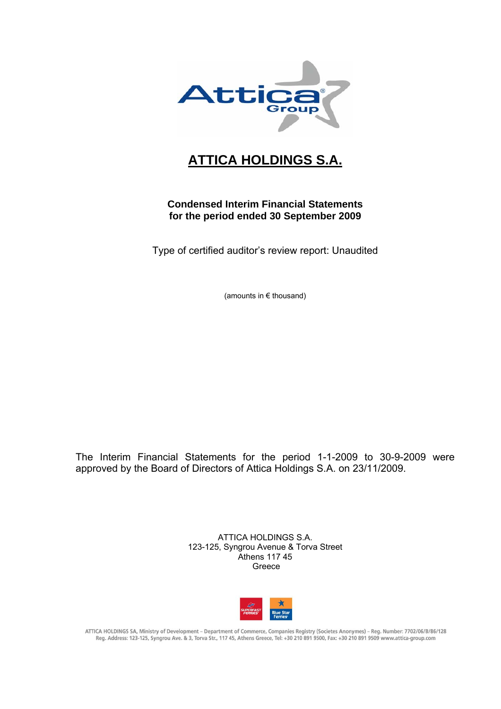

## **ATTICA HOLDINGS S.A.**

### **Condensed Interim Financial Statements for the period ended 30 September 2009**

Type of certified auditor's review report: Unaudited

(amounts in € thousand)

The Interim Financial Statements for the period 1-1-2009 to 30-9-2009 were approved by the Board of Directors of Attica Holdings S.A. on 23/11/2009.

> ATTICA HOLDINGS S.A. 123-125, Syngrou Avenue & Torva Street Athens 117 45 Greece



ATTICA HOLDINGS SA, Ministry of Development - Department of Commerce, Companies Registry (Societes Anonymes) - Reg. Number: 7702/06/B/86/128 Reg. Address: 123-125, Syngrou Ave. & 3, Torva Str., 117 45, Athens Greece, Tel: +30 210 891 9500, Fax: +30 210 891 9509 www.attica-group.com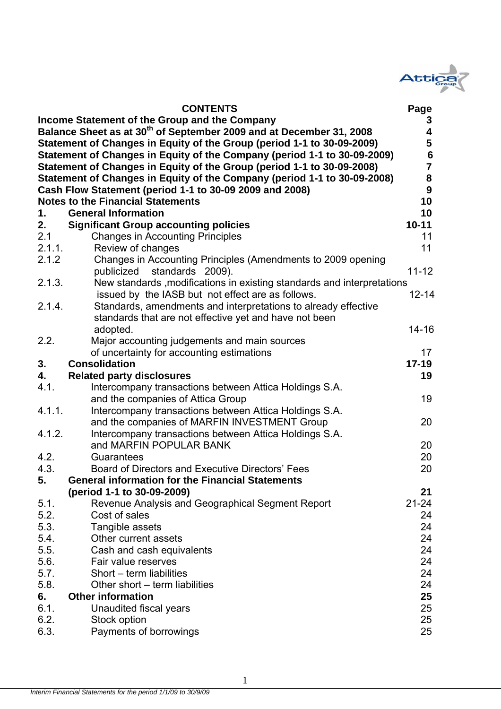

|        | <b>CONTENTS</b>                                                                 | Page                    |
|--------|---------------------------------------------------------------------------------|-------------------------|
|        | Income Statement of the Group and the Company                                   | 3                       |
|        | Balance Sheet as at 30 <sup>th</sup> of September 2009 and at December 31, 2008 | $\overline{\mathbf{4}}$ |
|        | Statement of Changes in Equity of the Group (period 1-1 to 30-09-2009)          | 5                       |
|        | Statement of Changes in Equity of the Company (period 1-1 to 30-09-2009)        | $\bf 6$                 |
|        | Statement of Changes in Equity of the Group (period 1-1 to 30-09-2008)          | $\overline{7}$          |
|        | Statement of Changes in Equity of the Company (period 1-1 to 30-09-2008)        | 8                       |
|        | Cash Flow Statement (period 1-1 to 30-09 2009 and 2008)                         | 9                       |
|        | <b>Notes to the Financial Statements</b>                                        | 10                      |
| 1.     | <b>General Information</b>                                                      | 10                      |
| 2.     | <b>Significant Group accounting policies</b>                                    | $10 - 11$               |
| 2.1    | <b>Changes in Accounting Principles</b>                                         | 11                      |
| 2.1.1. | Review of changes                                                               | 11                      |
| 2.1.2  | Changes in Accounting Principles (Amendments to 2009 opening                    |                         |
|        | standards 2009).<br>publicized                                                  | $11 - 12$               |
| 2.1.3. | New standards, modifications in existing standards and interpretations          |                         |
|        | issued by the IASB but not effect are as follows.                               | $12 - 14$               |
| 2.1.4. | Standards, amendments and interpretations to already effective                  |                         |
|        | standards that are not effective yet and have not been                          |                         |
|        | adopted.                                                                        | $14 - 16$               |
| 2.2.   | Major accounting judgements and main sources                                    |                         |
|        | of uncertainty for accounting estimations                                       | 17                      |
| 3.     | <b>Consolidation</b>                                                            | $17 - 19$               |
| 4.     | <b>Related party disclosures</b>                                                | 19                      |
| 4.1.   | Intercompany transactions between Attica Holdings S.A.                          |                         |
|        | and the companies of Attica Group                                               | 19                      |
| 4.1.1. | Intercompany transactions between Attica Holdings S.A.                          |                         |
|        | and the companies of MARFIN INVESTMENT Group                                    | 20                      |
| 4.1.2. | Intercompany transactions between Attica Holdings S.A.                          |                         |
|        | and MARFIN POPULAR BANK                                                         | 20                      |
| 4.2.   | Guarantees                                                                      | 20                      |
| 4.3.   | Board of Directors and Executive Directors' Fees                                | 20                      |
| 5.     | <b>General information for the Financial Statements</b>                         |                         |
|        | (period 1-1 to 30-09-2009)                                                      | 21                      |
| 5.1.   | Revenue Analysis and Geographical Segment Report                                | $21 - 24$               |
| 5.2.   | Cost of sales                                                                   | 24                      |
| 5.3.   | Tangible assets                                                                 | 24                      |
| 5.4.   | Other current assets                                                            | 24                      |
| 5.5.   | Cash and cash equivalents                                                       | 24                      |
| 5.6.   | Fair value reserves                                                             | 24                      |
| 5.7.   | Short - term liabilities                                                        | 24                      |
| 5.8.   | Other short – term liabilities                                                  | 24                      |
| 6.     | <b>Other information</b>                                                        | 25                      |
| 6.1.   | Unaudited fiscal years                                                          | 25                      |
| 6.2.   | Stock option                                                                    | 25                      |
| 6.3.   | Payments of borrowings                                                          | 25                      |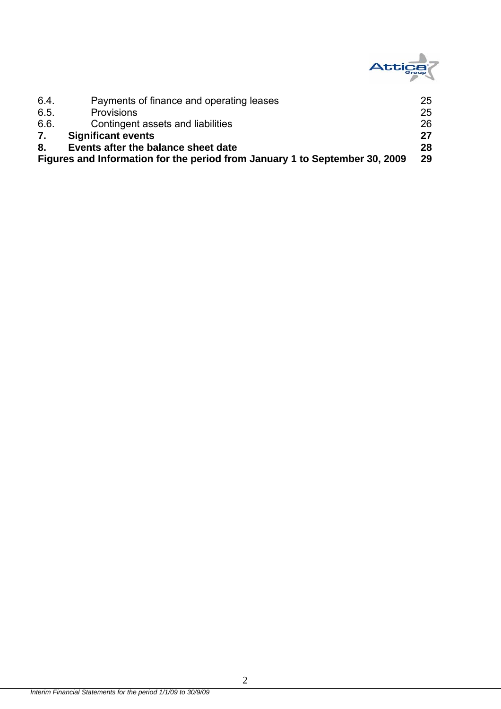

| 6.4  | Payments of finance and operating leases                                    | 25 |
|------|-----------------------------------------------------------------------------|----|
| 6.5. | <b>Provisions</b>                                                           | 25 |
| 6.6. | Contingent assets and liabilities                                           | 26 |
| 7.   | <b>Significant events</b>                                                   | 27 |
| 8.   | Events after the balance sheet date                                         | 28 |
|      | Figures and Information for the period from January 1 to September 30, 2009 | 29 |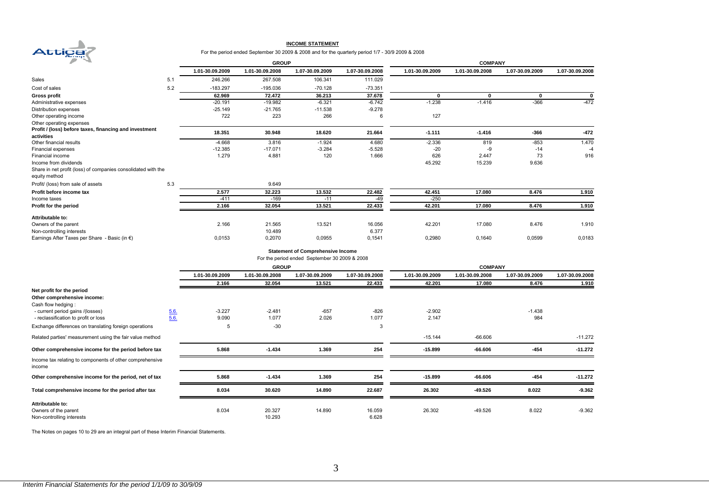

#### **INCOME STATEMENT**

#### For the period ended September 30 2009 & 2008 and for the quarterly period 1/7 - 30/9 2009 & 2008

| ⇥                                                                              |     |                 | <b>GROUP</b>    |                                               |                 | <b>COMPANY</b>  |                 |                 |                 |  |
|--------------------------------------------------------------------------------|-----|-----------------|-----------------|-----------------------------------------------|-----------------|-----------------|-----------------|-----------------|-----------------|--|
|                                                                                |     | 1.01-30.09.2009 | 1.01-30.09.2008 | 1.07-30.09.2009                               | 1.07-30.09.2008 | 1.01-30.09.2009 | 1.01-30.09.2008 | 1.07-30.09.2009 | 1.07-30.09.2008 |  |
| Sales                                                                          | 5.1 | 246.266         | 267.508         | 106.341                                       | 111.029         |                 |                 |                 |                 |  |
| Cost of sales                                                                  | 5.2 | $-183.297$      | $-195.036$      | $-70.128$                                     | $-73.351$       |                 |                 |                 |                 |  |
| <b>Gross profit</b>                                                            |     | 62.969          | 72.472          | 36.213                                        | 37.678          | $\mathbf{0}$    | $\bf{0}$        | $\mathbf{0}$    |                 |  |
| Administrative expenses                                                        |     | $-20.191$       | $-19.982$       | $-6.321$                                      | $-6.742$        | $-1.238$        | $-1.416$        | $-366$          | $-472$          |  |
| Distribution expenses                                                          |     | $-25.149$       | $-21.765$       | $-11.538$                                     | $-9.278$        |                 |                 |                 |                 |  |
| Other operating income                                                         |     | 722             | 223             | 266                                           | 6               | 127             |                 |                 |                 |  |
| Other operating expenses                                                       |     |                 |                 |                                               |                 |                 |                 |                 |                 |  |
| Profit / (loss) before taxes, financing and investment<br>activities           |     | 18.351          | 30.948          | 18.620                                        | 21.664          | $-1.111$        | $-1.416$        | $-366$          | $-472$          |  |
| Other financial results                                                        |     | $-4.668$        | 3.816           | $-1.924$                                      | 4.680           | $-2.336$        | 819             | $-853$          | 1.470           |  |
| Financial expenses                                                             |     | $-12.385$       | $-17.071$       | $-3.284$                                      | $-5.528$        | $-20$           | -9              | $-14$           | $-4$            |  |
| Financial income                                                               |     | 1.279           | 4.881           | 120                                           | 1.666           | 626             | 2.447           | 73              | 916             |  |
| Income from dividends                                                          |     |                 |                 |                                               |                 | 45.292          | 15.239          | 9.636           |                 |  |
| Share in net profit (loss) of companies consolidated with the<br>equity method |     |                 |                 |                                               |                 |                 |                 |                 |                 |  |
| Profit/ (loss) from sale of assets                                             | 5.3 |                 | 9.649           |                                               |                 |                 |                 |                 |                 |  |
| Profit before income tax                                                       |     | 2.577           | 32.223          | 13.532                                        | 22.482          | 42.451          | 17.080          | 8.476           | 1.910           |  |
| Income taxes                                                                   |     | $-411$          | $-169$          | $-11$                                         | -49             | $-250$          |                 |                 |                 |  |
| Profit for the period                                                          |     | 2.166           | 32.054          | 13.521                                        | 22.433          | 42.201          | 17.080          | 8.476           | 1.910           |  |
| Attributable to:                                                               |     |                 |                 |                                               |                 |                 |                 |                 |                 |  |
| Owners of the parent                                                           |     | 2.166           | 21.565          | 13.521                                        | 16.056          | 42.201          | 17.080          | 8.476           | 1.910           |  |
| Non-controlling interests                                                      |     |                 | 10.489          |                                               | 6.377           |                 |                 |                 |                 |  |
| Earnings After Taxes per Share - Basic (in $\epsilon$ )                        |     | 0,0153          | 0,2070          | 0,0955                                        | 0,1541          | 0,2980          | 0,1640          | 0,0599          | 0,0183          |  |
|                                                                                |     |                 |                 | <b>Statement of Comprehensive Income</b>      |                 |                 |                 |                 |                 |  |
|                                                                                |     |                 |                 | For the period ended September 30 2009 & 2008 |                 |                 |                 |                 |                 |  |
|                                                                                |     |                 | <b>GROUP</b>    |                                               |                 |                 | <b>COMPANY</b>  |                 |                 |  |
|                                                                                |     | 1.01-30.09.2009 | 1.01-30.09.2008 | 1.07-30.09.2009                               | 1.07-30.09.2008 | 1.01-30.09.2009 | 1.01-30.09.2008 | 1.07-30.09.2009 | 1.07-30.09.2008 |  |
|                                                                                |     | 2.166           | 32.054          | 13.521                                        | 22.433          | 42.201          | 17.080          | 8.476           | 1.910           |  |

|                                                                    |      | <b>2.100</b> | 32.U34   | 13.321 | 22.433 | 42.ZVI    | 17.UOU    | 0.470    | 1.910     |
|--------------------------------------------------------------------|------|--------------|----------|--------|--------|-----------|-----------|----------|-----------|
| Net profit for the period                                          |      |              |          |        |        |           |           |          |           |
| Other comprehensive income:                                        |      |              |          |        |        |           |           |          |           |
| Cash flow hedging:                                                 |      |              |          |        |        |           |           |          |           |
| - current period gains /(losses)                                   | 5.6. | $-3.227$     | $-2.481$ | $-657$ | $-826$ | $-2.902$  |           | $-1.438$ |           |
| - reclassification to profit or loss                               | 5.6. | 9.090        | 1.077    | 2.026  | 1.077  | 2.147     |           | 984      |           |
| Exchange differences on translating foreign operations             |      | 5            | $-30$    |        | 3      |           |           |          |           |
| Related parties' measurement using the fair value method           |      |              |          |        |        | $-15.144$ | $-66.606$ |          | $-11.272$ |
| Other comprehensive income for the period before tax               |      | 5.868        | $-1.434$ | 1.369  | 254    | $-15.899$ | $-66.606$ | $-454$   | $-11.272$ |
| Income tax relating to components of other comprehensive<br>income |      |              |          |        |        |           |           |          |           |
| Other comprehensive income for the period, net of tax              |      | 5.868        | $-1.434$ | 1.369  | 254    | $-15.899$ | $-66.606$ | $-454$   | $-11.272$ |
| Total comprehensive income for the period after tax                |      | 8.034        | 30.620   | 14.890 | 22.687 | 26.302    | -49.526   | 8.022    | $-9.362$  |
| Attributable to:                                                   |      |              |          |        |        |           |           |          |           |
| Owners of the parent                                               |      | 8.034        | 20.327   | 14.890 | 16.059 | 26.302    | $-49.526$ | 8.022    | $-9.362$  |
| Non-controlling interests                                          |      |              | 10.293   |        | 6.628  |           |           |          |           |
|                                                                    |      |              |          |        |        |           |           |          |           |

The Notes on pages 10 to 29 are an integral part of these Interim Financial Statements.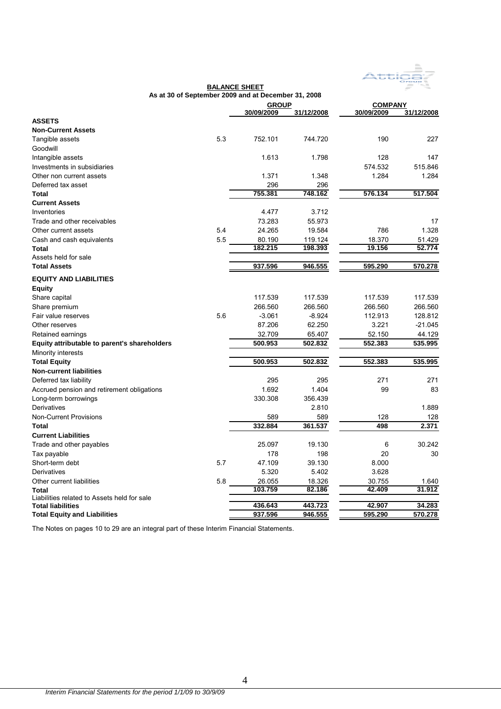

|                                              |     | As at 30 of September 2009 and at December 31, 2008 |                    |                  |                  |
|----------------------------------------------|-----|-----------------------------------------------------|--------------------|------------------|------------------|
|                                              |     | <b>GROUP</b>                                        |                    | <b>COMPANY</b>   |                  |
| <b>ASSETS</b>                                |     | 30/09/2009                                          | 31/12/2008         | 30/09/2009       | 31/12/2008       |
| <b>Non-Current Assets</b>                    |     |                                                     |                    |                  |                  |
| Tangible assets                              | 5.3 | 752.101                                             | 744.720            | 190              | 227              |
| Goodwill                                     |     |                                                     |                    |                  |                  |
| Intangible assets                            |     | 1.613                                               | 1.798              | 128              | 147              |
| Investments in subsidiaries                  |     |                                                     |                    | 574.532          | 515.846          |
| Other non current assets                     |     | 1.371                                               | 1.348              | 1.284            | 1.284            |
| Deferred tax asset                           |     | 296                                                 | 296                |                  |                  |
| <b>Total</b>                                 |     | 755.381                                             | 748.162            | 576.134          | 517.504          |
| <b>Current Assets</b>                        |     |                                                     |                    |                  |                  |
| Inventories                                  |     | 4.477                                               | 3.712              |                  |                  |
|                                              |     |                                                     |                    |                  |                  |
| Trade and other receivables                  |     | 73.283                                              | 55.973             |                  | 17               |
| Other current assets                         | 5.4 | 24.265                                              | 19.584             | 786              | 1.328            |
| Cash and cash equivalents                    | 5.5 | 80.190<br>182.215                                   | 119.124<br>198.393 | 18.370<br>19.156 | 51.429<br>52.774 |
| Total                                        |     |                                                     |                    |                  |                  |
| Assets held for sale<br><b>Total Assets</b>  |     |                                                     |                    |                  |                  |
|                                              |     | 937.596                                             | 946.555            | 595.290          | 570.278          |
| <b>EQUITY AND LIABILITIES</b>                |     |                                                     |                    |                  |                  |
| <b>Equity</b>                                |     |                                                     |                    |                  |                  |
| Share capital                                |     | 117.539                                             | 117.539            | 117.539          | 117.539          |
| Share premium                                |     | 266.560                                             | 266.560            | 266.560          | 266.560          |
| Fair value reserves                          | 5.6 | $-3.061$                                            | $-8.924$           | 112.913          | 128.812          |
| Other reserves                               |     | 87.206                                              | 62.250             | 3.221            | $-21.045$        |
| Retained earnings                            |     | 32.709                                              | 65.407             | 52.150           | 44.129           |
| Equity attributable to parent's shareholders |     | 500.953                                             | 502.832            | 552.383          | 535.995          |
| Minority interests                           |     |                                                     |                    |                  |                  |
| <b>Total Equity</b>                          |     | 500.953                                             | 502.832            | 552.383          | 535.995          |
| <b>Non-current liabilities</b>               |     |                                                     |                    |                  |                  |
| Deferred tax liability                       |     | 295                                                 | 295                | 271              | 271              |
| Accrued pension and retirement obligations   |     | 1.692                                               | 1.404              | 99               | 83               |
| Long-term borrowings                         |     | 330.308                                             | 356.439            |                  |                  |
| Derivatives                                  |     |                                                     | 2.810              |                  | 1.889            |
| <b>Non-Current Provisions</b>                |     | 589                                                 | 589                | 128              | 128              |
| <b>Total</b>                                 |     | 332.884                                             | 361.537            | 498              | 2.371            |
| <b>Current Liabilities</b>                   |     |                                                     |                    |                  |                  |
| Trade and other payables                     |     | 25.097                                              | 19.130             | 6                | 30.242           |
| Tax payable                                  |     | 178                                                 | 198                | 20               | 30               |
| Short-term debt                              | 5.7 | 47.109                                              | 39.130             | 8.000            |                  |
| Derivatives                                  |     | 5.320                                               | 5.402              | 3.628            |                  |
| Other current liabilities                    | 5.8 | 26.055                                              | 18.326             | 30.755           | 1.640            |
| Total                                        |     | 103.759                                             | 82.186             | 42.409           | 31.912           |
| Liabilities related to Assets held for sale  |     |                                                     |                    |                  |                  |
| <b>Total liabilities</b>                     |     | 436.643                                             | 443.723            | 42.907           | 34.283           |
| <b>Total Equity and Liabilities</b>          |     | 937.596                                             | 946.555            | 595.290          | 570.278          |

**BALANCE SHEET**

The Notes on pages 10 to 29 are an integral part of these Interim Financial Statements.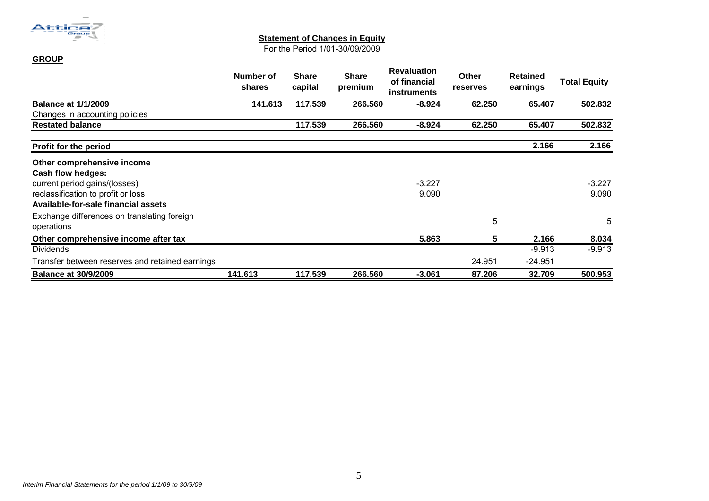

**GROUP**

#### **Statement of Changes in Equity**

For the Period 1/01-30/09/2009

|                                                           | Number of<br>shares | <b>Share</b><br>capital | <b>Share</b><br>premium | <b>Revaluation</b><br>of financial<br><b>instruments</b> | <b>Other</b><br><b>reserves</b> | <b>Retained</b><br>earnings | <b>Total Equity</b> |
|-----------------------------------------------------------|---------------------|-------------------------|-------------------------|----------------------------------------------------------|---------------------------------|-----------------------------|---------------------|
| <b>Balance at 1/1/2009</b>                                | 141.613             | 117.539                 | 266,560                 | $-8.924$                                                 | 62.250                          | 65.407                      | 502.832             |
| Changes in accounting policies                            |                     |                         |                         |                                                          |                                 |                             |                     |
| <b>Restated balance</b>                                   |                     | 117.539                 | 266.560                 | $-8.924$                                                 | 62.250                          | 65.407                      | 502.832             |
| <b>Profit for the period</b>                              |                     |                         |                         |                                                          |                                 | 2.166                       | 2.166               |
| Other comprehensive income                                |                     |                         |                         |                                                          |                                 |                             |                     |
| Cash flow hedges:                                         |                     |                         |                         |                                                          |                                 |                             |                     |
| current period gains/(losses)                             |                     |                         |                         | $-3.227$                                                 |                                 |                             | $-3.227$            |
| reclassification to profit or loss                        |                     |                         |                         | 9.090                                                    |                                 |                             | 9.090               |
| Available-for-sale financial assets                       |                     |                         |                         |                                                          |                                 |                             |                     |
| Exchange differences on translating foreign<br>operations |                     |                         |                         |                                                          | 5                               |                             | 5                   |
| Other comprehensive income after tax                      |                     |                         |                         | 5.863                                                    | 5                               | 2.166                       | 8.034               |
| <b>Dividends</b>                                          |                     |                         |                         |                                                          |                                 | $-9.913$                    | $-9.913$            |
| Transfer between reserves and retained earnings           |                     |                         |                         |                                                          | 24.951                          | $-24.951$                   |                     |
| <b>Balance at 30/9/2009</b>                               | 141.613             | 117.539                 | 266.560                 | $-3.061$                                                 | 87.206                          | 32.709                      | 500.953             |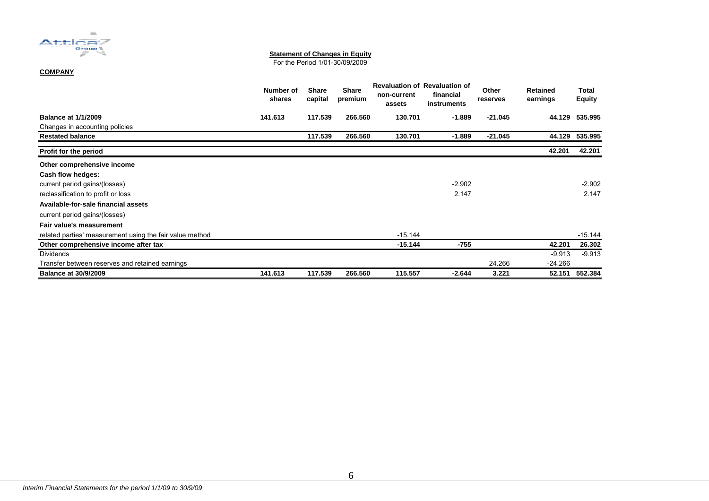

#### **Statement of Changes in Equity**

For the Period 1/01-30/09/2009

#### **COMPANY**

|                                                          | Number of<br>shares | <b>Share</b><br>capital | <b>Share</b><br>premium | non-current<br>assets | <b>Revaluation of Revaluation of</b><br>financial<br>instruments | Other<br>reserves | <b>Retained</b><br>earnings | Total<br><b>Equity</b> |
|----------------------------------------------------------|---------------------|-------------------------|-------------------------|-----------------------|------------------------------------------------------------------|-------------------|-----------------------------|------------------------|
| <b>Balance at 1/1/2009</b>                               | 141.613             | 117.539                 | 266.560                 | 130.701               | $-1.889$                                                         | $-21.045$         | 44.129                      | 535.995                |
| Changes in accounting policies                           |                     |                         |                         |                       |                                                                  |                   |                             |                        |
| <b>Restated balance</b>                                  |                     | 117.539                 | 266.560                 | 130.701               | $-1.889$                                                         | $-21.045$         | 44.129                      | 535.995                |
| Profit for the period                                    |                     |                         |                         |                       |                                                                  |                   | 42.201                      | 42.201                 |
| Other comprehensive income                               |                     |                         |                         |                       |                                                                  |                   |                             |                        |
| Cash flow hedges:                                        |                     |                         |                         |                       |                                                                  |                   |                             |                        |
| current period gains/(losses)                            |                     |                         |                         |                       | $-2.902$                                                         |                   |                             | $-2.902$               |
| reclassification to profit or loss                       |                     |                         |                         |                       | 2.147                                                            |                   |                             | 2.147                  |
| Available-for-sale financial assets                      |                     |                         |                         |                       |                                                                  |                   |                             |                        |
| current period gains/(losses)                            |                     |                         |                         |                       |                                                                  |                   |                             |                        |
| Fair value's measurement                                 |                     |                         |                         |                       |                                                                  |                   |                             |                        |
| related parties' measurement using the fair value method |                     |                         |                         | $-15.144$             |                                                                  |                   |                             | $-15.144$              |
| Other comprehensive income after tax                     |                     |                         |                         | $-15.144$             | -755                                                             |                   | 42.201                      | 26.302                 |
| Dividends                                                |                     |                         |                         |                       |                                                                  |                   | $-9.913$                    | $-9.913$               |
| Transfer between reserves and retained earnings          |                     |                         |                         |                       |                                                                  | 24.266            | $-24.266$                   |                        |
| <b>Balance at 30/9/2009</b>                              | 141.613             | 117.539                 | 266.560                 | 115.557               | $-2.644$                                                         | 3.221             | 52.151                      | 552.384                |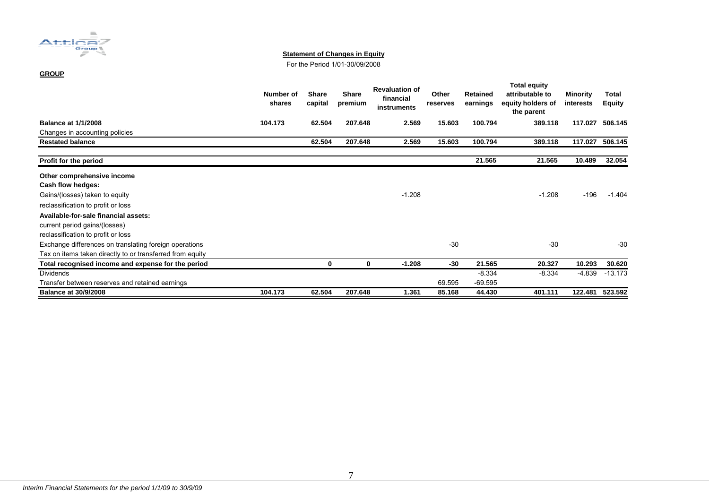

#### **Statement of Changes in Equity**

For the Period 1/01-30/09/2008

#### **GROUP**

|                                                           | Number of<br>shares | <b>Share</b><br>capital | <b>Share</b><br>premium | <b>Revaluation of</b><br>financial<br>instruments | Other<br>reserves | <b>Retained</b><br>earnings | <b>Total equity</b><br>attributable to<br>equity holders of<br>the parent | <b>Minority</b><br>interests | Total<br><b>Equity</b> |
|-----------------------------------------------------------|---------------------|-------------------------|-------------------------|---------------------------------------------------|-------------------|-----------------------------|---------------------------------------------------------------------------|------------------------------|------------------------|
| <b>Balance at 1/1/2008</b>                                | 104.173             | 62.504                  | 207.648                 | 2.569                                             | 15.603            | 100.794                     | 389.118                                                                   | 117.027                      | 506.145                |
| Changes in accounting policies                            |                     |                         |                         |                                                   |                   |                             |                                                                           |                              |                        |
| <b>Restated balance</b>                                   |                     | 62.504                  | 207.648                 | 2.569                                             | 15.603            | 100.794                     | 389.118                                                                   | 117.027                      | 506.145                |
| Profit for the period                                     |                     |                         |                         |                                                   |                   | 21.565                      | 21.565                                                                    | 10.489                       | 32.054                 |
| Other comprehensive income                                |                     |                         |                         |                                                   |                   |                             |                                                                           |                              |                        |
| Cash flow hedges:                                         |                     |                         |                         |                                                   |                   |                             |                                                                           |                              |                        |
| Gains/(losses) taken to equity                            |                     |                         |                         | $-1.208$                                          |                   |                             | $-1.208$                                                                  | -196                         | $-1.404$               |
| reclassification to profit or loss                        |                     |                         |                         |                                                   |                   |                             |                                                                           |                              |                        |
| Available-for-sale financial assets:                      |                     |                         |                         |                                                   |                   |                             |                                                                           |                              |                        |
| current period gains/(losses)                             |                     |                         |                         |                                                   |                   |                             |                                                                           |                              |                        |
| reclassification to profit or loss                        |                     |                         |                         |                                                   |                   |                             |                                                                           |                              |                        |
| Exchange differences on translating foreign operations    |                     |                         |                         |                                                   | $-30$             |                             | $-30$                                                                     |                              | $-30$                  |
| Tax on items taken directly to or transferred from equity |                     |                         |                         |                                                   |                   |                             |                                                                           |                              |                        |
| Total recognised income and expense for the period        |                     | 0                       | $\bf{0}$                | $-1.208$                                          | $-30$             | 21.565                      | 20.327                                                                    | 10.293                       | 30.620                 |
| <b>Dividends</b>                                          |                     |                         |                         |                                                   |                   | $-8.334$                    | $-8.334$                                                                  | $-4.839$                     | $-13.173$              |
| Transfer between reserves and retained earnings           |                     |                         |                         |                                                   | 69.595            | $-69.595$                   |                                                                           |                              |                        |
| <b>Balance at 30/9/2008</b>                               | 104.173             | 62.504                  | 207.648                 | 1.361                                             | 85.168            | 44.430                      | 401.111                                                                   | 122.481                      | 523.592                |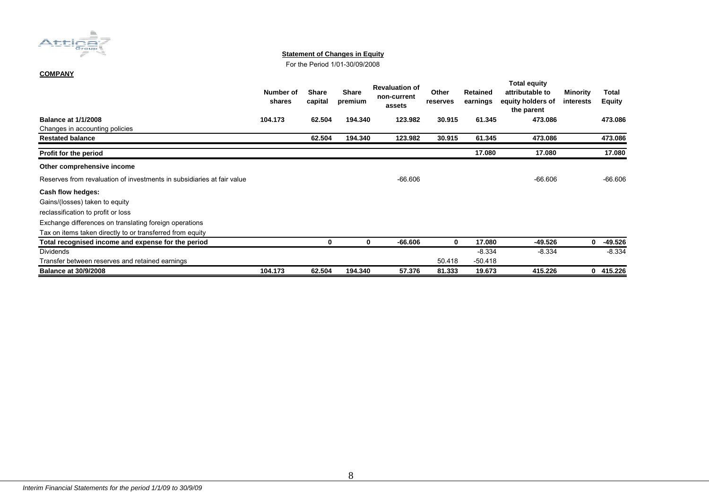

#### **Statement of Changes in Equity**

For the Period 1/01-30/09/2008

#### **COMPANY**

|                                                                        | Number of<br>shares | <b>Share</b><br>capital | <b>Share</b><br>premium | <b>Revaluation of</b><br>non-current<br>assets | Other<br>reserves | <b>Retained</b><br>earnings | <b>Total equity</b><br>attributable to<br>equity holders of<br>the parent | Minority<br>interests | Total<br><b>Equity</b> |
|------------------------------------------------------------------------|---------------------|-------------------------|-------------------------|------------------------------------------------|-------------------|-----------------------------|---------------------------------------------------------------------------|-----------------------|------------------------|
| <b>Balance at 1/1/2008</b>                                             | 104.173             | 62.504                  | 194.340                 | 123.982                                        | 30.915            | 61.345                      | 473.086                                                                   |                       | 473.086                |
| Changes in accounting policies                                         |                     |                         |                         |                                                |                   |                             |                                                                           |                       |                        |
| <b>Restated balance</b>                                                |                     | 62.504                  | 194.340                 | 123.982                                        | 30.915            | 61.345                      | 473.086                                                                   |                       | 473.086                |
| Profit for the period                                                  |                     |                         |                         |                                                |                   | 17.080                      | 17.080                                                                    |                       | 17.080                 |
| Other comprehensive income                                             |                     |                         |                         |                                                |                   |                             |                                                                           |                       |                        |
| Reserves from revaluation of investments in subsidiaries at fair value |                     |                         |                         | $-66.606$                                      |                   |                             | $-66.606$                                                                 |                       | $-66.606$              |
| Cash flow hedges:                                                      |                     |                         |                         |                                                |                   |                             |                                                                           |                       |                        |
| Gains/(losses) taken to equity                                         |                     |                         |                         |                                                |                   |                             |                                                                           |                       |                        |
| reclassification to profit or loss                                     |                     |                         |                         |                                                |                   |                             |                                                                           |                       |                        |
| Exchange differences on translating foreign operations                 |                     |                         |                         |                                                |                   |                             |                                                                           |                       |                        |
| Tax on items taken directly to or transferred from equity              |                     |                         |                         |                                                |                   |                             |                                                                           |                       |                        |
| Total recognised income and expense for the period                     |                     | 0                       | 0                       | $-66.606$                                      | 0                 | 17.080                      | $-49.526$                                                                 | $\mathbf 0$           | $-49.526$              |
| <b>Dividends</b>                                                       |                     |                         |                         |                                                |                   | $-8.334$                    | $-8.334$                                                                  |                       | $-8.334$               |
| Transfer between reserves and retained earnings                        |                     |                         |                         |                                                | 50.418            | $-50.418$                   |                                                                           |                       |                        |
| <b>Balance at 30/9/2008</b>                                            | 104.173             | 62.504                  | 194.340                 | 57.376                                         | 81.333            | 19.673                      | 415.226                                                                   | $\bf{0}$              | 415.226                |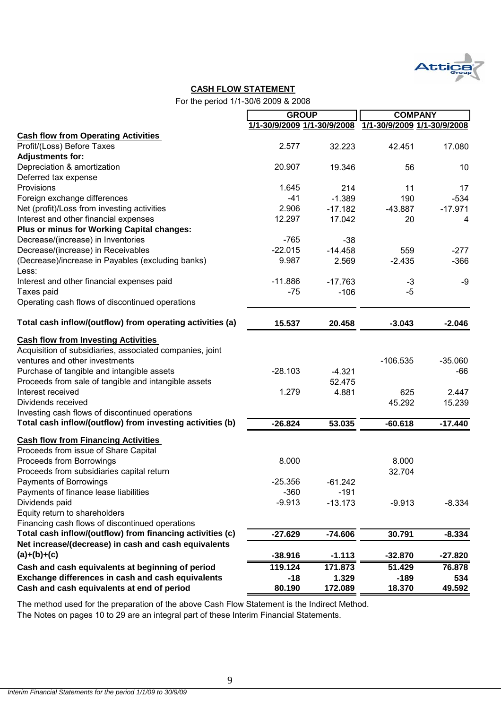

#### **CASH FLOW STATEMENT**

For the period 1/1-30/6 2009 & 2008

|                                                           | <b>GROUP</b>                |           | <b>COMPANY</b>              |           |
|-----------------------------------------------------------|-----------------------------|-----------|-----------------------------|-----------|
|                                                           | 1/1-30/9/2009 1/1-30/9/2008 |           | 1/1-30/9/2009 1/1-30/9/2008 |           |
| <b>Cash flow from Operating Activities</b>                |                             |           |                             |           |
| Profit/(Loss) Before Taxes                                | 2.577                       | 32.223    | 42.451                      | 17.080    |
| <b>Adjustments for:</b>                                   |                             |           |                             |           |
| Depreciation & amortization                               | 20.907                      | 19.346    | 56                          | 10        |
| Deferred tax expense                                      |                             |           |                             |           |
| Provisions                                                | 1.645                       | 214       | 11                          | 17        |
| Foreign exchange differences                              | $-41$                       | $-1.389$  | 190                         | $-534$    |
| Net (profit)/Loss from investing activities               | 2.906                       | $-17.182$ | $-43.887$                   | $-17.971$ |
| Interest and other financial expenses                     | 12.297                      | 17.042    | 20                          | 4         |
| Plus or minus for Working Capital changes:                |                             |           |                             |           |
| Decrease/(increase) in Inventories                        | $-765$                      | $-38$     |                             |           |
| Decrease/(increase) in Receivables                        | $-22.015$                   | $-14.458$ | 559                         | $-277$    |
| (Decrease)/increase in Payables (excluding banks)         | 9.987                       | 2.569     | $-2.435$                    | $-366$    |
| Less:                                                     |                             |           |                             |           |
| Interest and other financial expenses paid                | $-11.886$                   | $-17.763$ | $-3$                        | -9        |
| Taxes paid                                                | $-75$                       | $-106$    | $-5$                        |           |
| Operating cash flows of discontinued operations           |                             |           |                             |           |
|                                                           |                             |           |                             |           |
| Total cash inflow/(outflow) from operating activities (a) | 15.537                      | 20.458    | $-3.043$                    | $-2.046$  |
| <b>Cash flow from Investing Activities</b>                |                             |           |                             |           |
| Acquisition of subsidiaries, associated companies, joint  |                             |           |                             |           |
| ventures and other investments                            |                             |           | $-106.535$                  | $-35.060$ |
| Purchase of tangible and intangible assets                | $-28.103$                   | $-4.321$  |                             | -66       |
| Proceeds from sale of tangible and intangible assets      |                             | 52.475    |                             |           |
| Interest received                                         | 1.279                       | 4.881     | 625                         | 2.447     |
| Dividends received                                        |                             |           | 45.292                      | 15.239    |
| Investing cash flows of discontinued operations           |                             |           |                             |           |
| Total cash inflow/(outflow) from investing activities (b) | $-26.824$                   | 53.035    | $-60.618$                   | $-17.440$ |
|                                                           |                             |           |                             |           |
| <b>Cash flow from Financing Activities</b>                |                             |           |                             |           |
| Proceeds from issue of Share Capital                      |                             |           |                             |           |
| Proceeds from Borrowings                                  | 8.000                       |           | 8.000                       |           |
| Proceeds from subsidiaries capital return                 |                             |           | 32.704                      |           |
| <b>Payments of Borrowings</b>                             | $-25.356$                   | $-61.242$ |                             |           |
| Payments of finance lease liabilities                     | $-360$                      | $-191$    |                             |           |
| Dividends paid                                            | $-9.913$                    | $-13.173$ | $-9.913$                    | $-8.334$  |
| Equity return to shareholders                             |                             |           |                             |           |
| Financing cash flows of discontinued operations           |                             |           |                             |           |
| Total cash inflow/(outflow) from financing activities (c) | $-27.629$                   | $-74.606$ | 30.791                      | $-8.334$  |
| Net increase/(decrease) in cash and cash equivalents      |                             |           |                             |           |
| $(a)+(b)+(c)$                                             | $-38.916$                   | $-1.113$  | $-32.870$                   | $-27.820$ |
| Cash and cash equivalents at beginning of period          | 119.124                     | 171.873   | 51.429                      | 76.878    |
| Exchange differences in cash and cash equivalents         | $-18$                       | 1.329     | $-189$                      | 534       |
| Cash and cash equivalents at end of period                | 80.190                      | 172.089   | 18.370                      | 49.592    |

The method used for the preparation of the above Cash Flow Statement is the Indirect Method.

The Notes on pages 10 to 29 are an integral part of these Interim Financial Statements.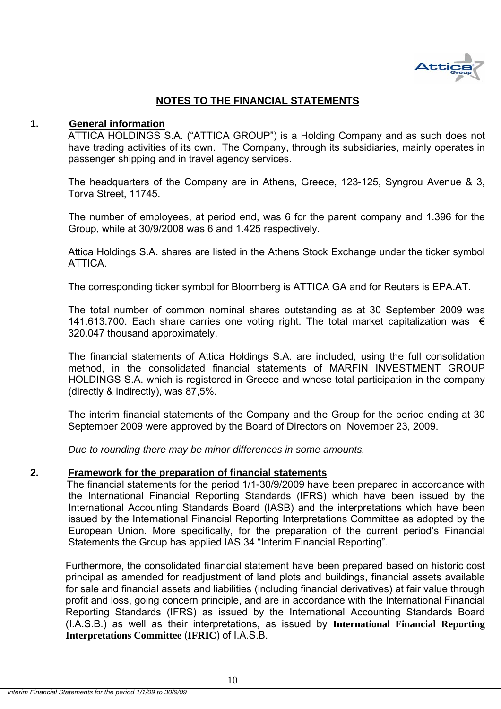

### **NOTES TO THE FINANCIAL STATEMENTS**

#### **1. General information**

ATTICA HOLDINGS S.A. ("ATTICA GROUP") is a Holding Company and as such does not have trading activities of its own. The Company, through its subsidiaries, mainly operates in passenger shipping and in travel agency services.

The headquarters of the Company are in Athens, Greece, 123-125, Syngrou Avenue & 3, Torva Street, 11745.

The number of employees, at period end, was 6 for the parent company and 1.396 for the Group, while at 30/9/2008 was 6 and 1.425 respectively.

Attica Holdings S.A. shares are listed in the Athens Stock Exchange under the ticker symbol **ATTICA** 

The corresponding ticker symbol for Bloomberg is ATTICA GA and for Reuters is EPA.AT.

The total number of common nominal shares outstanding as at 30 September 2009 was 141.613.700. Each share carries one voting right. The total market capitalization was  $∈$ 320.047 thousand approximately.

The financial statements of Attica Holdings S.A. are included, using the full consolidation method, in the consolidated financial statements of MARFIN INVESTMENT GROUP HOLDINGS S.A. which is registered in Greece and whose total participation in the company (directly & indirectly), was 87,5%.

The interim financial statements of the Company and the Group for the period ending at 30 September 2009 were approved by the Board of Directors on November 23, 2009.

*Due to rounding there may be minor differences in some amounts.* 

#### **2. Framework for the preparation of financial statements**

 The financial statements for the period 1/1-30/9/2009 have been prepared in accordance with the International Financial Reporting Standards (IFRS) which have been issued by the International Accounting Standards Board (IASB) and the interpretations which have been issued by the International Financial Reporting Interpretations Committee as adopted by the European Union. More specifically, for the preparation of the current period's Financial Statements the Group has applied IAS 34 "Interim Financial Reporting".

Furthermore, the consolidated financial statement have been prepared based on historic cost principal as amended for readjustment of land plots and buildings, financial assets available for sale and financial assets and liabilities (including financial derivatives) at fair value through profit and loss, going concern principle, and are in accordance with the International Financial Reporting Standards (IFRS) as issued by the International Accounting Standards Board (I.A.S.B.) as well as their interpretations, as issued by **International Financial Reporting Interpretations Committee** (**IFRIC**) of I.A.S.B.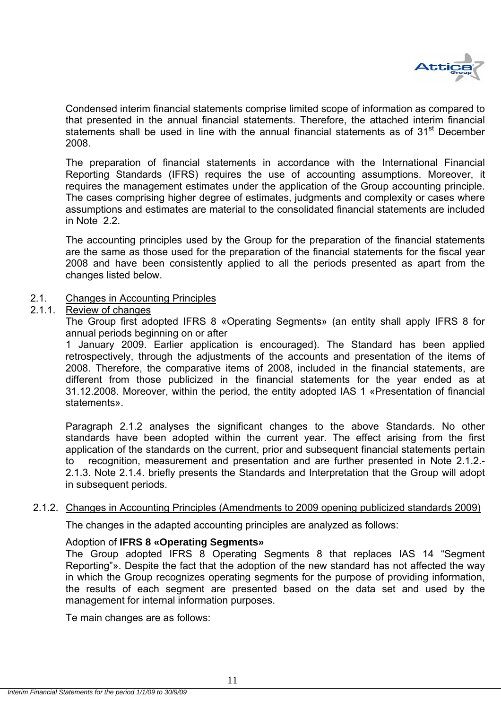

Condensed interim financial statements comprise limited scope of information as compared to that presented in the annual financial statements. Therefore, the attached interim financial statements shall be used in line with the annual financial statements as of 31<sup>st</sup> December 2008.

The preparation of financial statements in accordance with the International Financial Reporting Standards (IFRS) requires the use of accounting assumptions. Moreover, it requires the management estimates under the application of the Group accounting principle. The cases comprising higher degree of estimates, judgments and complexity or cases where assumptions and estimates are material to the consolidated financial statements are included in Note 2.2.

The accounting principles used by the Group for the preparation of the financial statements are the same as those used for the preparation of the financial statements for the fiscal year 2008 and have been consistently applied to all the periods presented as apart from the changes listed below.

#### 2.1. Changes in Accounting Principles

#### 2.1.1. Review of changes

The Group first adopted IFRS 8 «Operating Segments» (an entity shall apply IFRS 8 for annual periods beginning on or after

1 January 2009. Earlier application is encouraged). The Standard has been applied retrospectively, through the adjustments of the accounts and presentation of the items of 2008. Therefore, the comparative items of 2008, included in the financial statements, are different from those publicized in the financial statements for the year ended as at 31.12.2008. Moreover, within the period, the entity adopted IAS 1 «Presentation of financial statements».

Paragraph 2.1.2 analyses the significant changes to the above Standards. No other standards have been adopted within the current year. The effect arising from the first application of the standards on the current, prior and subsequent financial statements pertain to recognition, measurement and presentation and are further presented in Note 2.1.2.- 2.1.3. Note 2.1.4. briefly presents the Standards and Interpretation that the Group will adopt in subsequent periods.

#### 2.1.2. Changes in Accounting Principles (Amendments to 2009 opening publicized standards 2009)

The changes in the adapted accounting principles are analyzed as follows:

#### Adoption of **IFRS 8 «Operating Segments»**

The Group adopted IFRS 8 Operating Segments 8 that replaces IAS 14 "Segment Reporting"». Despite the fact that the adoption of the new standard has not affected the way in which the Group recognizes operating segments for the purpose of providing information, the results of each segment are presented based on the data set and used by the management for internal information purposes.

Te main changes are as follows: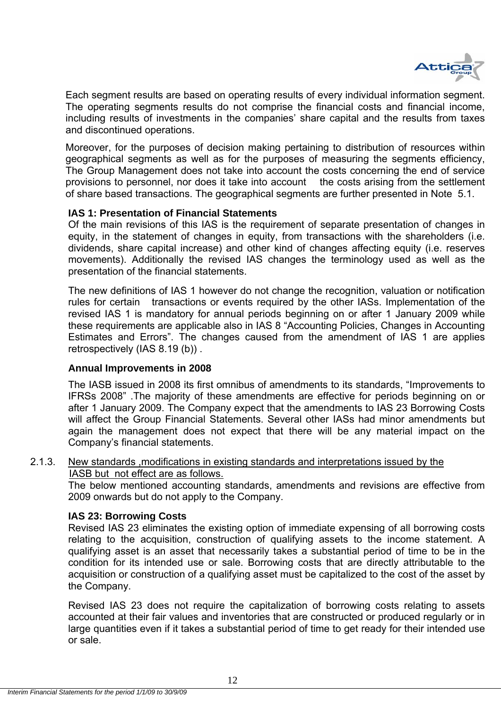

Each segment results are based on operating results of every individual information segment. The operating segments results do not comprise the financial costs and financial income, including results of investments in the companies' share capital and the results from taxes and discontinued operations.

Moreover, for the purposes of decision making pertaining to distribution of resources within geographical segments as well as for the purposes of measuring the segments efficiency, The Group Management does not take into account the costs concerning the end of service provisions to personnel, nor does it take into account the costs arising from the settlement of share based transactions. The geographical segments are further presented in Note 5.1.

#### **IAS 1: Presentation of Financial Statements**

Of the main revisions of this IAS is the requirement of separate presentation of changes in equity, in the statement of changes in equity, from transactions with the shareholders (i.e. dividends, share capital increase) and other kind of changes affecting equity (i.e. reserves movements). Additionally the revised IAS changes the terminology used as well as the presentation of the financial statements.

The new definitions of IAS 1 however do not change the recognition, valuation or notification rules for certain transactions or events required by the other IASs. Implementation of the revised IAS 1 is mandatory for annual periods beginning on or after 1 January 2009 while these requirements are applicable also in IAS 8 "Accounting Policies, Changes in Accounting Estimates and Errors". The changes caused from the amendment of IAS 1 are applies retrospectively (IAS 8.19 (b)) .

#### **Annual Improvements in 2008**

The IASB issued in 2008 its first omnibus of amendments to its standards, "Improvements to IFRSs 2008" .The majority of these amendments are effective for periods beginning on or after 1 January 2009. The Company expect that the amendments to IAS 23 Borrowing Costs will affect the Group Financial Statements. Several other IASs had minor amendments but again the management does not expect that there will be any material impact on the Company's financial statements.

#### 2.1.3. New standards ,modifications in existing standards and interpretations issued by the IASB but not effect are as follows.

The below mentioned accounting standards, amendments and revisions are effective from 2009 onwards but do not apply to the Company.

#### **IAS 23: Borrowing Costs**

Revised IAS 23 eliminates the existing option of immediate expensing of all borrowing costs relating to the acquisition, construction of qualifying assets to the income statement. A qualifying asset is an asset that necessarily takes a substantial period of time to be in the condition for its intended use or sale. Borrowing costs that are directly attributable to the acquisition or construction of a qualifying asset must be capitalized to the cost of the asset by the Company.

Revised IAS 23 does not require the capitalization of borrowing costs relating to assets accounted at their fair values and inventories that are constructed or produced regularly or in large quantities even if it takes a substantial period of time to get ready for their intended use or sale.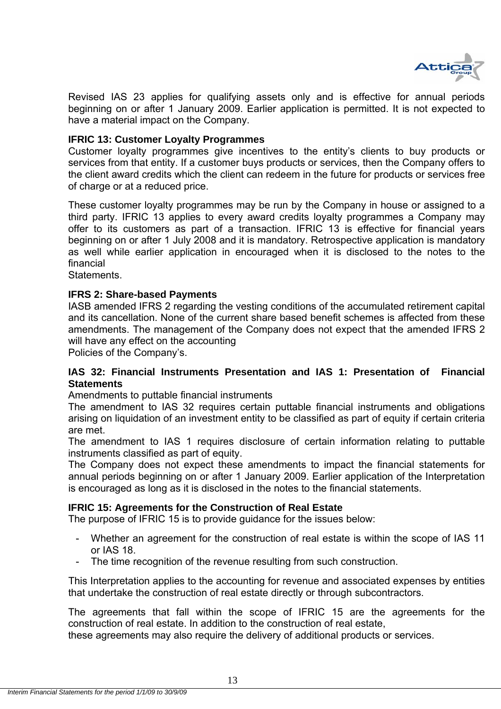

Revised IAS 23 applies for qualifying assets only and is effective for annual periods beginning on or after 1 January 2009. Earlier application is permitted. It is not expected to have a material impact on the Company.

#### **IFRIC 13: Customer Loyalty Programmes**

Customer loyalty programmes give incentives to the entity's clients to buy products or services from that entity. If a customer buys products or services, then the Company offers to the client award credits which the client can redeem in the future for products or services free of charge or at a reduced price.

These customer loyalty programmes may be run by the Company in house or assigned to a third party. IFRIC 13 applies to every award credits loyalty programmes a Company may offer to its customers as part of a transaction. IFRIC 13 is effective for financial years beginning on or after 1 July 2008 and it is mandatory. Retrospective application is mandatory as well while earlier application in encouraged when it is disclosed to the notes to the financial

**Statements** 

#### **IFRS 2: Share-based Payments**

IASB amended IFRS 2 regarding the vesting conditions of the accumulated retirement capital and its cancellation. None of the current share based benefit schemes is affected from these amendments. The management of the Company does not expect that the amended IFRS 2 will have any effect on the accounting

Policies of the Company's.

#### **IAS 32: Financial Instruments Presentation and IAS 1: Presentation of Financial Statements**

Amendments to puttable financial instruments

The amendment to IAS 32 requires certain puttable financial instruments and obligations arising on liquidation of an investment entity to be classified as part of equity if certain criteria are met.

The amendment to IAS 1 requires disclosure of certain information relating to puttable instruments classified as part of equity.

The Company does not expect these amendments to impact the financial statements for annual periods beginning on or after 1 January 2009. Earlier application of the Interpretation is encouraged as long as it is disclosed in the notes to the financial statements.

#### **IFRIC 15: Agreements for the Construction of Real Estate**

The purpose of IFRIC 15 is to provide guidance for the issues below:

- Whether an agreement for the construction of real estate is within the scope of IAS 11 or IAS 18.
- The time recognition of the revenue resulting from such construction.

This Interpretation applies to the accounting for revenue and associated expenses by entities that undertake the construction of real estate directly or through subcontractors.

The agreements that fall within the scope of IFRIC 15 are the agreements for the construction of real estate. In addition to the construction of real estate,

these agreements may also require the delivery of additional products or services.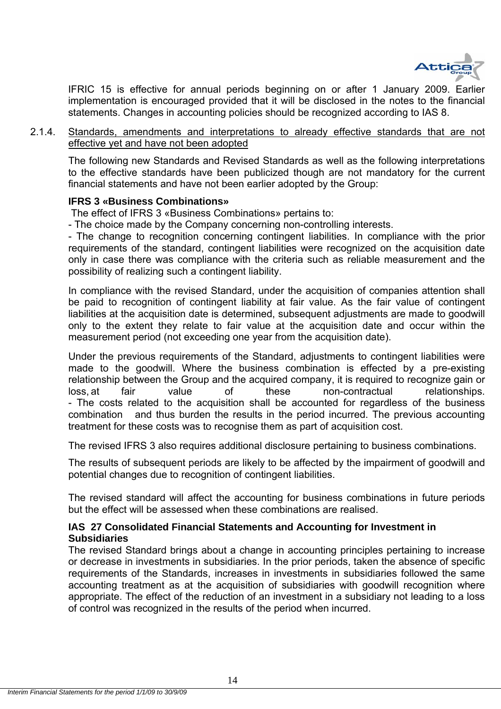

IFRIC 15 is effective for annual periods beginning on or after 1 January 2009. Earlier implementation is encouraged provided that it will be disclosed in the notes to the financial statements. Changes in accounting policies should be recognized according to IAS 8.

2.1.4. Standards, amendments and interpretations to already effective standards that are not effective yet and have not been adopted

The following new Standards and Revised Standards as well as the following interpretations to the effective standards have been publicized though are not mandatory for the current financial statements and have not been earlier adopted by the Group:

#### **IFRS 3 «Business Combinations»**

The effect of IFRS 3 «Business Combinations» pertains to:

- The choice made by the Company concerning non-controlling interests.

- The change to recognition concerning contingent liabilities. In compliance with the prior requirements of the standard, contingent liabilities were recognized on the acquisition date only in case there was compliance with the criteria such as reliable measurement and the possibility of realizing such a contingent liability.

In compliance with the revised Standard, under the acquisition of companies attention shall be paid to recognition of contingent liability at fair value. As the fair value of contingent liabilities at the acquisition date is determined, subsequent adjustments are made to goodwill only to the extent they relate to fair value at the acquisition date and occur within the measurement period (not exceeding one year from the acquisition date).

Under the previous requirements of the Standard, adjustments to contingent liabilities were made to the goodwill. Where the business combination is effected by a pre-existing relationship between the Group and the acquired company, it is required to recognize gain or loss, at fair value of these non-contractual relationships. - The costs related to the acquisition shall be accounted for regardless of the business combination and thus burden the results in the period incurred. The previous accounting treatment for these costs was to recognise them as part of acquisition cost.

The revised IFRS 3 also requires additional disclosure pertaining to business combinations.

The results of subsequent periods are likely to be affected by the impairment of goodwill and potential changes due to recognition of contingent liabilities.

The revised standard will affect the accounting for business combinations in future periods but the effect will be assessed when these combinations are realised.

#### **IAS 27 Consolidated Financial Statements and Accounting for Investment in Subsidiaries**

The revised Standard brings about a change in accounting principles pertaining to increase or decrease in investments in subsidiaries. In the prior periods, taken the absence of specific requirements of the Standards, increases in investments in subsidiaries followed the same accounting treatment as at the acquisition of subsidiaries with goodwill recognition where appropriate. The effect of the reduction of an investment in a subsidiary not leading to a loss of control was recognized in the results of the period when incurred.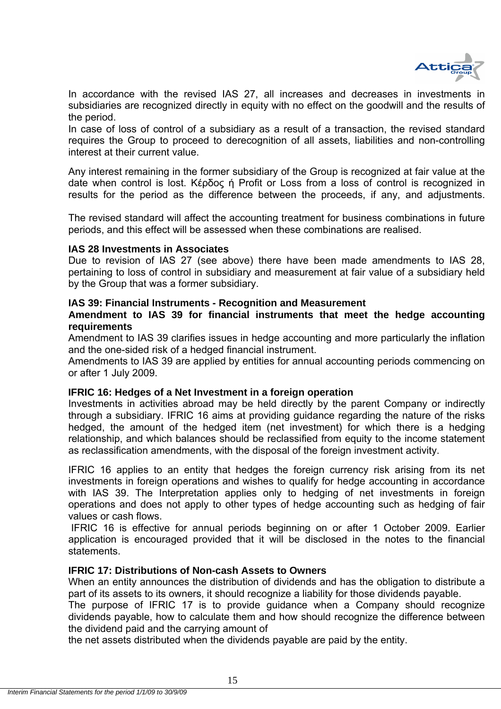

In accordance with the revised IAS 27, all increases and decreases in investments in subsidiaries are recognized directly in equity with no effect on the goodwill and the results of the period.

In case of loss of control of a subsidiary as a result of a transaction, the revised standard requires the Group to proceed to derecognition of all assets, liabilities and non-controlling interest at their current value.

Any interest remaining in the former subsidiary of the Group is recognized at fair value at the date when control is lost. Κέρδος ή Profit or Loss from a loss of control is recognized in results for the period as the difference between the proceeds, if any, and adjustments.

The revised standard will affect the accounting treatment for business combinations in future periods, and this effect will be assessed when these combinations are realised.

#### **IAS 28 Investments in Associates**

Due to revision of IAS 27 (see above) there have been made amendments to IAS 28, pertaining to loss of control in subsidiary and measurement at fair value of a subsidiary held by the Group that was a former subsidiary.

#### **IAS 39: Financial Instruments - Recognition and Measurement**

#### **Amendment to IAS 39 for financial instruments that meet the hedge accounting requirements**

Amendment to IAS 39 clarifies issues in hedge accounting and more particularly the inflation and the one-sided risk of a hedged financial instrument.

Amendments to IAS 39 are applied by entities for annual accounting periods commencing on or after 1 July 2009.

#### **IFRIC 16: Hedges of a Net Investment in a foreign operation**

Investments in activities abroad may be held directly by the parent Company or indirectly through a subsidiary. IFRIC 16 aims at providing guidance regarding the nature of the risks hedged, the amount of the hedged item (net investment) for which there is a hedging relationship, and which balances should be reclassified from equity to the income statement as reclassification amendments, with the disposal of the foreign investment activity.

IFRIC 16 applies to an entity that hedges the foreign currency risk arising from its net investments in foreign operations and wishes to qualify for hedge accounting in accordance with IAS 39. The Interpretation applies only to hedging of net investments in foreign operations and does not apply to other types of hedge accounting such as hedging of fair values or cash flows.

 IFRIC 16 is effective for annual periods beginning on or after 1 October 2009. Earlier application is encouraged provided that it will be disclosed in the notes to the financial statements.

#### **IFRIC 17: Distributions of Non-cash Assets to Owners**

When an entity announces the distribution of dividends and has the obligation to distribute a part of its assets to its owners, it should recognize a liability for those dividends payable.

The purpose of IFRIC 17 is to provide guidance when a Company should recognize dividends payable, how to calculate them and how should recognize the difference between the dividend paid and the carrying amount of

the net assets distributed when the dividends payable are paid by the entity.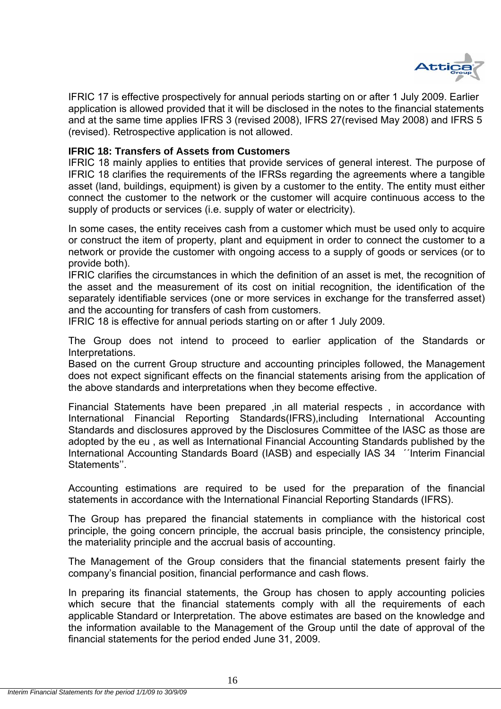

IFRIC 17 is effective prospectively for annual periods starting on or after 1 July 2009. Earlier application is allowed provided that it will be disclosed in the notes to the financial statements and at the same time applies IFRS 3 (revised 2008), IFRS 27(revised May 2008) and IFRS 5 (revised). Retrospective application is not allowed.

#### **IFRIC 18: Transfers of Assets from Customers**

IFRIC 18 mainly applies to entities that provide services of general interest. The purpose of IFRIC 18 clarifies the requirements of the IFRSs regarding the agreements where a tangible asset (land, buildings, equipment) is given by a customer to the entity. The entity must either connect the customer to the network or the customer will acquire continuous access to the supply of products or services (i.e. supply of water or electricity).

In some cases, the entity receives cash from a customer which must be used only to acquire or construct the item of property, plant and equipment in order to connect the customer to a network or provide the customer with ongoing access to a supply of goods or services (or to provide both).

IFRIC clarifies the circumstances in which the definition of an asset is met, the recognition of the asset and the measurement of its cost on initial recognition, the identification of the separately identifiable services (one or more services in exchange for the transferred asset) and the accounting for transfers of cash from customers.

IFRIC 18 is effective for annual periods starting on or after 1 July 2009.

The Group does not intend to proceed to earlier application of the Standards or Interpretations.

Based on the current Group structure and accounting principles followed, the Management does not expect significant effects on the financial statements arising from the application of the above standards and interpretations when they become effective.

Financial Statements have been prepared ,in all material respects , in accordance with International Financial Reporting Standards(IFRS),including International Accounting Standards and disclosures approved by the Disclosures Committee of the IASC as those are adopted by the eu , as well as International Financial Accounting Standards published by the International Accounting Standards Board (IASB) and especially IAS 34 ΄΄Interim Financial Statements''.

Accounting estimations are required to be used for the preparation of the financial statements in accordance with the International Financial Reporting Standards (IFRS).

The Group has prepared the financial statements in compliance with the historical cost principle, the going concern principle, the accrual basis principle, the consistency principle, the materiality principle and the accrual basis of accounting.

The Management of the Group considers that the financial statements present fairly the company's financial position, financial performance and cash flows.

In preparing its financial statements, the Group has chosen to apply accounting policies which secure that the financial statements comply with all the requirements of each applicable Standard or Interpretation. The above estimates are based οn the knowledge and the information available to the Management of the Group until the date of approval of the financial statements for the period ended June 31, 2009.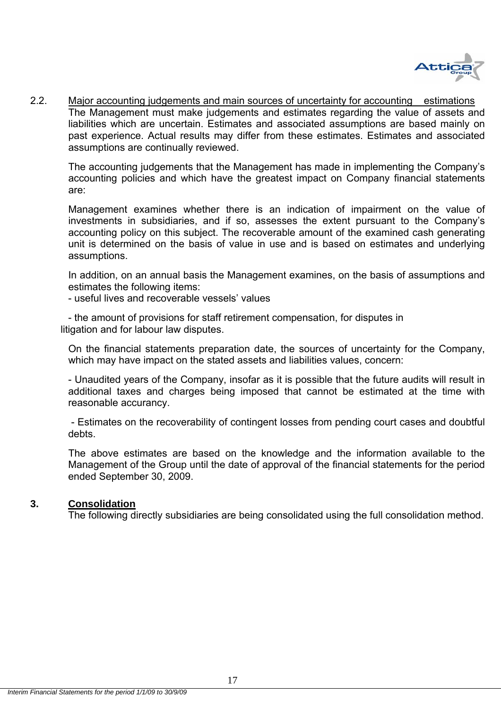

2.2. Major accounting judgements and main sources of uncertainty for accounting estimations The Management must make judgements and estimates regarding the value of assets and liabilities which are uncertain. Estimates and associated assumptions are based mainly on past experience. Actual results may differ from these estimates. Estimates and associated assumptions are continually reviewed.

The accounting judgements that the Management has made in implementing the Company's accounting policies and which have the greatest impact on Company financial statements are:

Management examines whether there is an indication of impairment on the value of investments in subsidiaries, and if so, assesses the extent pursuant to the Company's accounting policy on this subject. The recoverable amount of the examined cash generating unit is determined on the basis of value in use and is based on estimates and underlying assumptions.

In addition, on an annual basis the Management examines, on the basis of assumptions and estimates the following items:

- useful lives and recoverable vessels' values

- the amount of provisions for staff retirement compensation, for disputes in litigation and for labour law disputes.

On the financial statements preparation date, the sources of uncertainty for the Company, which may have impact on the stated assets and liabilities values, concern:

- Unaudited years of the Company, insofar as it is possible that the future audits will result in additional taxes and charges being imposed that cannot be estimated at the time with reasonable accurancy.

 - Estimates on the recoverability of contingent losses from pending court cases and doubtful debts.

The above estimates are based οn the knowledge and the information available to the Management of the Group until the date of approval of the financial statements for the period ended September 30, 2009.

#### **3. Consolidation**

The following directly subsidiaries are being consolidated using the full consolidation method.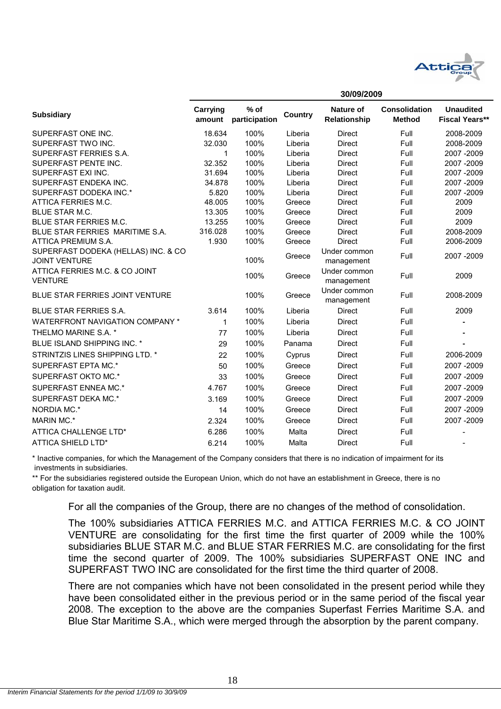

**30/09/2009**

|                                                             |                    |                         | งบ/บ <i>ง</i> /∠บบ <i>ง</i> |                                  |                                       |                                           |  |
|-------------------------------------------------------------|--------------------|-------------------------|-----------------------------|----------------------------------|---------------------------------------|-------------------------------------------|--|
| <b>Subsidiary</b>                                           | Carrying<br>amount | $%$ of<br>participation | Country                     | <b>Nature of</b><br>Relationship | <b>Consolidation</b><br><b>Method</b> | <b>Unaudited</b><br><b>Fiscal Years**</b> |  |
| SUPERFAST ONE INC.                                          | 18.634             | 100%                    | Liberia                     | <b>Direct</b>                    | Full                                  | 2008-2009                                 |  |
| SUPERFAST TWO INC.                                          | 32.030             | 100%                    | Liberia                     | <b>Direct</b>                    | Full                                  | 2008-2009                                 |  |
| SUPERFAST FERRIES S.A.                                      | 1                  | 100%                    | Liberia                     | <b>Direct</b>                    | Full                                  | 2007 - 2009                               |  |
| SUPERFAST PENTE INC.                                        | 32.352             | 100%                    | Liberia                     | Direct                           | Full                                  | 2007 - 2009                               |  |
| SUPERFAST EXI INC.                                          | 31.694             | 100%                    | Liberia                     | Direct                           | Full                                  | 2007 - 2009                               |  |
| SUPERFAST ENDEKA INC.                                       | 34.878             | 100%                    | Liberia                     | <b>Direct</b>                    | Full                                  | 2007 - 2009                               |  |
| SUPERFAST DODEKA INC.*                                      | 5.820              | 100%                    | Liberia                     | <b>Direct</b>                    | Full                                  | 2007 - 2009                               |  |
| ATTICA FERRIES M.C.                                         | 48.005             | 100%                    | Greece                      | <b>Direct</b>                    | Full                                  | 2009                                      |  |
| BLUE STAR M.C.                                              | 13.305             | 100%                    | Greece                      | <b>Direct</b>                    | Full                                  | 2009                                      |  |
| BLUE STAR FERRIES M.C.                                      | 13.255             | 100%                    | Greece                      | <b>Direct</b>                    | Full                                  | 2009                                      |  |
| BLUE STAR FERRIES MARITIME S.A.                             | 316.028            | 100%                    | Greece                      | <b>Direct</b>                    | Full                                  | 2008-2009                                 |  |
| ATTICA PREMIUM S.A.                                         | 1.930              | 100%                    | Greece                      | <b>Direct</b>                    | Full                                  | 2006-2009                                 |  |
| SUPERFAST DODEKA (HELLAS) INC. & CO<br><b>JOINT VENTURE</b> |                    | 100%                    | Greece                      | Under common<br>management       | Full                                  | 2007 - 2009                               |  |
| ATTICA FERRIES M.C. & CO JOINT<br><b>VENTURE</b>            |                    | 100%                    | Greece                      | Under common<br>management       | Full                                  | 2009                                      |  |
| BLUE STAR FERRIES JOINT VENTURE                             |                    | 100%                    | Greece                      | Under common<br>management       | Full                                  | 2008-2009                                 |  |
| BLUE STAR FERRIES S.A.                                      | 3.614              | 100%                    | Liberia                     | <b>Direct</b>                    | Full                                  | 2009                                      |  |
| <b>WATERFRONT NAVIGATION COMPANY *</b>                      | 1                  | 100%                    | Liberia                     | <b>Direct</b>                    | Full                                  |                                           |  |
| THELMO MARINE S.A. *                                        | 77                 | 100%                    | Liberia                     | <b>Direct</b>                    | Full                                  |                                           |  |
| <b>BLUE ISLAND SHIPPING INC. *</b>                          | 29                 | 100%                    | Panama                      | Direct                           | Full                                  |                                           |  |
| STRINTZIS LINES SHIPPING LTD. *                             | 22                 | 100%                    | Cyprus                      | <b>Direct</b>                    | Full                                  | 2006-2009                                 |  |
| SUPERFAST EPTA MC.*                                         | 50                 | 100%                    | Greece                      | <b>Direct</b>                    | Full                                  | 2007-2009                                 |  |
| SUPERFAST OKTO MC.*                                         | 33                 | 100%                    | Greece                      | <b>Direct</b>                    | Full                                  | 2007 - 2009                               |  |
| SUPERFAST ENNEA MC.*                                        | 4.767              | 100%                    | Greece                      | <b>Direct</b>                    | Full                                  | 2007 - 2009                               |  |
| SUPERFAST DEKA MC.*                                         | 3.169              | 100%                    | Greece                      | <b>Direct</b>                    | Full                                  | 2007 - 2009                               |  |
| NORDIA MC.*                                                 | 14                 | 100%                    | Greece                      | Direct                           | Full                                  | 2007 - 2009                               |  |
| <b>MARIN MC.*</b>                                           | 2.324              | 100%                    | Greece                      | <b>Direct</b>                    | Full                                  | 2007 - 2009                               |  |
| ATTICA CHALLENGE LTD*                                       | 6.286              | 100%                    | Malta                       | Direct                           | Full                                  |                                           |  |
| ATTICA SHIELD LTD*                                          | 6.214              | 100%                    | Malta                       | <b>Direct</b>                    | Full                                  |                                           |  |

 investments in subsidiaries. \* Inactive companies, for which the Management of the Company considers that there is no indication of impairment for its

\*\* For the subsidiaries registered outside the European Union, which do not have an establishment in Greece, there is no obligation for taxation audit.

For all the companies of the Group, there are no changes of the method of consolidation.

The 100% subsidiaries ATTICA FERRIES M.C. and ATTICA FERRIES M.C. & CO JOINT VENTURE are consolidating for the first time the first quarter of 2009 while the 100% subsidiaries BLUE STAR M.C. and BLUE STAR FERRIES M.C. are consolidating for the first time the second quarter of 2009. The 100% subsidiaries SUPERFAST ONE INC and SUPERFAST TWO INC are consolidated for the first time the third quarter of 2008.

There are not companies which have not been consolidated in the present period while they have been consolidated either in the previous period or in the same period of the fiscal year 2008. The exception to the above are the companies Superfast Ferries Maritime S.A. and Blue Star Maritime S.A., which were merged through the absorption by the parent company.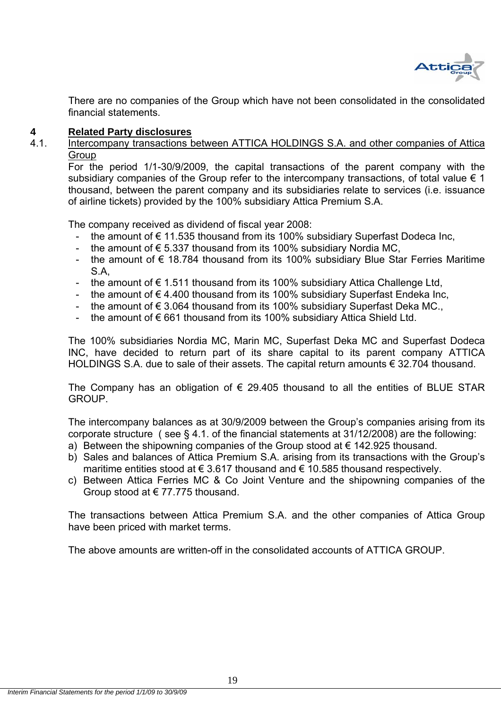

There are no companies of the Group which have not been consolidated in the consolidated financial statements.

# **4 Related Party disclosures**<br>4.1 **Intercompany transactions b**

Intercompany transactions between ATTICA HOLDINGS S.A. and other companies of Attica **Group** 

For the period 1/1-30/9/2009, the capital transactions of the parent company with the subsidiary companies of the Group refer to the intercompany transactions, of total value  $\epsilon$  1 thousand, between the parent company and its subsidiaries relate to services (i.e. issuance of airline tickets) provided by the 100% subsidiary Attica Premium S.A.

The company received as dividend of fiscal year 2008:

- the amount of € 11.535 thousand from its 100% subsidiary Superfast Dodeca Inc,
- the amount of  $\epsilon$  5.337 thousand from its 100% subsidiary Nordia MC,
- the amount of € 18.784 thousand from its 100% subsidiary Blue Star Ferries Maritime S.A,
- the amount of  $€ 1.511$  thousand from its 100% subsidiary Attica Challenge Ltd,
- the amount of €4.400 thousand from its 100% subsidiary Superfast Endeka Inc,
- the amount of € 3.064 thousand from its 100% subsidiary Superfast Deka MC.,
- the amount of € 661 thousand from its 100% subsidiary Attica Shield Ltd.

The 100% subsidiaries Nordia MC, Marin MC, Superfast Deka MC and Superfast Dodeca INC, have decided to return part of its share capital to its parent company ATTICA HOLDINGS S.A. due to sale of their assets. The capital return amounts € 32.704 thousand.

The Company has an obligation of  $\epsilon$  29.405 thousand to all the entities of BLUE STAR GROUP.

The intercompany balances as at 30/9/2009 between the Group's companies arising from its corporate structure ( see § 4.1. of the financial statements at 31/12/2008) are the following:

- a) Between the shipowning companies of the Group stood at  $\epsilon$  142.925 thousand.
- b) Sales and balances of Attica Premium S.A. arising from its transactions with the Group's maritime entities stood at  $\epsilon$  3.617 thousand and  $\epsilon$  10.585 thousand respectively.
- c) Between Attica Ferries MC & Co Joint Venture and the shipowning companies of the Group stood at  $\epsilon$  77.775 thousand.

The transactions between Attica Premium S.A. and the other companies of Attica Group have been priced with market terms.

The above amounts are written-off in the consolidated accounts of ATTICA GROUP.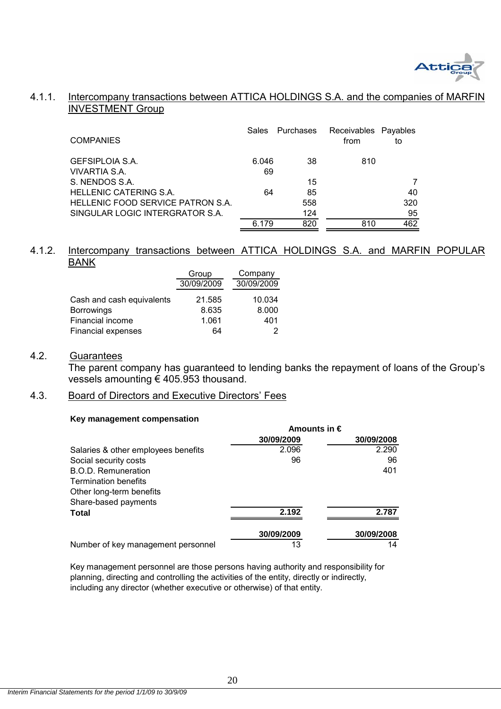

#### 4.1.1. Intercompany transactions between ATTICA HOLDINGS S.A. and the companies of MARFII INVESTMENT Group

| <b>COMPANIES</b>                  | Sales | <b>Purchases</b> | Receivables Payables<br>from | to  |
|-----------------------------------|-------|------------------|------------------------------|-----|
| <b>GEFSIPLOIA S.A.</b>            | 6.046 | 38               | 810                          |     |
| VIVARTIA S.A.                     | 69    |                  |                              |     |
| S. NENDOS S.A.                    |       | 15               |                              |     |
| <b>HELLENIC CATERING S.A.</b>     | 64    | 85               |                              | 40  |
| HELLENIC FOOD SERVICE PATRON S.A. |       | 558              |                              | 320 |
| SINGULAR LOGIC INTERGRATOR S.A.   |       | 124              |                              | 95  |
|                                   | 6.179 | 820              | 810                          | 462 |

#### 4.1.2. Intercompany transactions between ATTICA HOLDINGS S.A. and MARFIN POPULAR BANK

|                           | Group      | Company    |  |  |
|---------------------------|------------|------------|--|--|
|                           | 30/09/2009 | 30/09/2009 |  |  |
| Cash and cash equivalents | 21.585     | 10.034     |  |  |
| <b>Borrowings</b>         | 8.635      | 8.000      |  |  |
| Financial income          | 1.061      | 401        |  |  |
| <b>Financial expenses</b> | 64         |            |  |  |

#### 4.2. Guarantees

 The parent company has guaranteed to lending banks the repayment of loans of the Group's vessels amounting € 405.953 thousand.

#### 4.3. Board of Directors and Executive Directors' Fees

#### **Key management compensation**

|                                     | Amounts in $\epsilon$ |            |  |  |
|-------------------------------------|-----------------------|------------|--|--|
|                                     | 30/09/2009            | 30/09/2008 |  |  |
| Salaries & other employees benefits | 2.096                 | 2.290      |  |  |
| Social security costs               | 96                    | 96         |  |  |
| B.O.D. Remuneration                 |                       | 401        |  |  |
| <b>Termination benefits</b>         |                       |            |  |  |
| Other long-term benefits            |                       |            |  |  |
| Share-based payments                |                       |            |  |  |
| Total                               | 2.192                 | 2.787      |  |  |
|                                     | 30/09/2009            | 30/09/2008 |  |  |
| Number of key management personnel  | 13                    | 14         |  |  |

Key management personnel are those persons having authority and responsibility for planning, directing and controlling the activities of the entity, directly or indirectly, including any director (whether executive or otherwise) of that entity.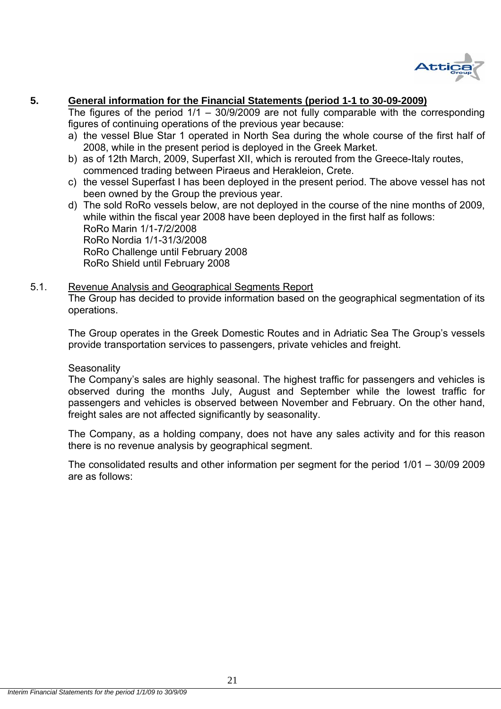

### **5. General information for the Financial Statements (period 1-1 to 30-09-2009)**

The figures of the period  $1/1 - 30/9/2009$  are not fully comparable with the corresponding figures of continuing operations of the previous year because:

- a) the vessel Blue Star 1 operated in North Sea during the whole course of the first half of 2008, while in the present period is deployed in the Greek Market.
- b) as of 12th March, 2009, Superfast XII, which is rerouted from the Greece-Italy routes, commenced trading between Piraeus and Herakleion, Crete.
- c) the vessel Superfast I has been deployed in the present period. The above vessel has not been owned by the Group the previous year.
- d) The sold RoRo vessels below, are not deployed in the course of the nine months of 2009, while within the fiscal year 2008 have been deployed in the first half as follows: RoRo Marin 1/1-7/2/2008 RoRo Nordia 1/1-31/3/2008 RoRo Challenge until February 2008 RoRo Shield until February 2008

### 5.1. Revenue Analysis and Geographical Segments Report

The Group has decided to provide information based on the geographical segmentation of its operations.

The Group operates in the Greek Domestic Routes and in Adriatic Sea The Group's vessels provide transportation services to passengers, private vehicles and freight.

#### **Seasonality**

The Company's sales are highly seasonal. The highest traffic for passengers and vehicles is observed during the months July, August and September while the lowest traffic for passengers and vehicles is observed between November and February. On the other hand, freight sales are not affected significantly by seasonality.

The Company, as a holding company, does not have any sales activity and for this reason there is no revenue analysis by geographical segment.

The consolidated results and other information per segment for the period 1/01 – 30/09 2009 are as follows: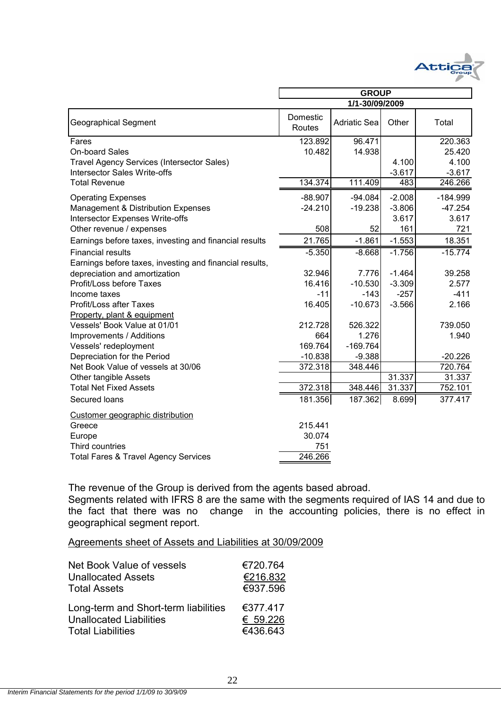

|                                                         | <b>GROUP</b>       |                     |          |            |  |
|---------------------------------------------------------|--------------------|---------------------|----------|------------|--|
|                                                         |                    | 1/1-30/09/2009      |          |            |  |
| <b>Geographical Segment</b>                             | Domestic<br>Routes | <b>Adriatic Sea</b> | Other    | Total      |  |
| Fares                                                   | 123.892            | 96.471              |          | 220.363    |  |
| On-board Sales                                          | 10.482             | 14.938              |          | 25.420     |  |
| <b>Travel Agency Services (Intersector Sales)</b>       |                    |                     | 4.100    | 4.100      |  |
| <b>Intersector Sales Write-offs</b>                     |                    |                     | $-3.617$ | $-3.617$   |  |
| <b>Total Revenue</b>                                    | 134.374            | 111.409             | 483      | 246.266    |  |
| <b>Operating Expenses</b>                               | $-88.907$          | $-94.084$           | $-2.008$ | $-184.999$ |  |
| Management & Distribution Expenses                      | $-24.210$          | $-19.238$           | $-3.806$ | $-47.254$  |  |
| Intersector Expenses Write-offs                         |                    |                     | 3.617    | 3.617      |  |
| Other revenue / expenses                                | 508                | 52                  | 161      | 721        |  |
| Earnings before taxes, investing and financial results  | 21.765             | $-1.861$            | $-1.553$ | 18.351     |  |
| <b>Financial results</b>                                | $-5.350$           | $-8.668$            | $-1.756$ | $-15.774$  |  |
| Earnings before taxes, investing and financial results, |                    |                     |          |            |  |
| depreciation and amortization                           | 32.946             | 7.776               | $-1.464$ | 39.258     |  |
| Profit/Loss before Taxes                                | 16.416             | $-10.530$           | $-3.309$ | 2.577      |  |
| Income taxes                                            | $-11$              | $-143$              | $-257$   | $-411$     |  |
| Profit/Loss after Taxes                                 | 16.405             | $-10.673$           | $-3.566$ | 2.166      |  |
| Property, plant & equipment                             |                    |                     |          |            |  |
| Vessels' Book Value at 01/01                            | 212.728            | 526.322             |          | 739.050    |  |
| Improvements / Additions                                | 664                | 1.276               |          | 1.940      |  |
| Vessels' redeployment                                   | 169.764            | $-169.764$          |          |            |  |
| Depreciation for the Period                             | $-10.838$          | $-9.388$            |          | $-20.226$  |  |
| Net Book Value of vessels at 30/06                      | 372.318            | 348.446             |          | 720.764    |  |
| Other tangible Assets                                   |                    |                     | 31.337   | 31.337     |  |
| <b>Total Net Fixed Assets</b>                           | 372.318            | 348.446             | 31.337   | 752.101    |  |
| Secured loans                                           | 181.356            | 187.362             | 8.699    | 377.417    |  |
| Customer geographic distribution                        |                    |                     |          |            |  |
| Greece                                                  | 215.441            |                     |          |            |  |
| Europe                                                  | 30.074             |                     |          |            |  |
| Third countries                                         | 751                |                     |          |            |  |
| <b>Total Fares &amp; Travel Agency Services</b>         | 246.266            |                     |          |            |  |

The revenue of the Group is derived from the agents based abroad.

Segments related with IFRS 8 are the same with the segments required of IAS 14 and due to the fact that there was no change in the accounting policies, there is no effect in geographical segment report.

#### Agreements sheet of Assets and Liabilities at 30/09/2009

| Net Book Value of vessels            | €720.764 |
|--------------------------------------|----------|
| <b>Unallocated Assets</b>            | €216.832 |
| <b>Total Assets</b>                  | €937.596 |
| Long-term and Short-term liabilities | €377.417 |
| <b>Unallocated Liabilities</b>       | € 59.226 |
| <b>Total Liabilities</b>             | €436.643 |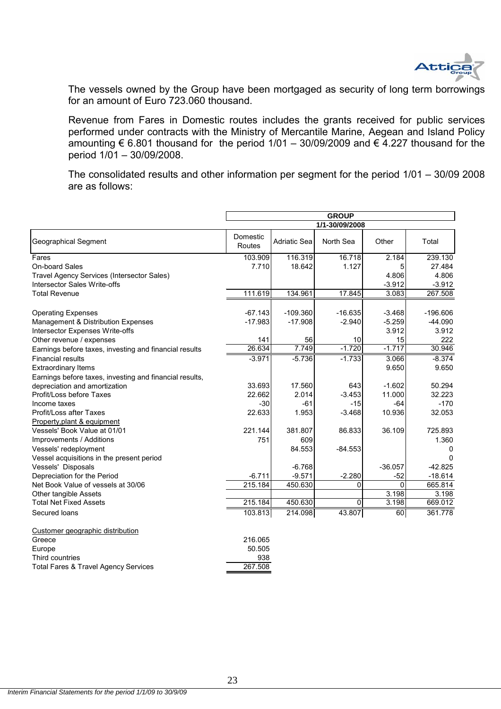

The vessels owned by the Group have been mortgaged as security of long term borrowings for an amount of Euro 723.060 thousand.

Revenue from Fares in Domestic routes includes the grants received for public services performed under contracts with the Ministry of Mercantile Marine, Aegean and Island Policy amounting  $\epsilon$  6.801 thousand for the period 1/01 – 30/09/2009 and  $\epsilon$  4.227 thousand for the period 1/01 – 30/09/2008.

The consolidated results and other information per segment for the period 1/01 – 30/09 2008 are as follows:

|                                                         | <b>GROUP</b> |              |                |           |            |  |  |  |
|---------------------------------------------------------|--------------|--------------|----------------|-----------|------------|--|--|--|
|                                                         |              |              | 1/1-30/09/2008 |           |            |  |  |  |
|                                                         | Domestic     |              |                |           |            |  |  |  |
| <b>Geographical Segment</b>                             | Routes       | Adriatic Sea | North Sea      | Other     | Total      |  |  |  |
| Fares                                                   | 103.909      | 116.319      | 16.718         | 2.184     | 239.130    |  |  |  |
| On-board Sales                                          | 7.710        | 18.642       | 1.127          | 5         | 27.484     |  |  |  |
| Travel Agency Services (Intersector Sales)              |              |              |                | 4.806     | 4.806      |  |  |  |
| <b>Intersector Sales Write-offs</b>                     |              |              |                | $-3.912$  | $-3.912$   |  |  |  |
| <b>Total Revenue</b>                                    | 111.619      | 134.961      | 17.845         | 3.083     | 267.508    |  |  |  |
| <b>Operating Expenses</b>                               | $-67.143$    | $-109.360$   | $-16.635$      | $-3.468$  | $-196.606$ |  |  |  |
| Management & Distribution Expenses                      | $-17.983$    | $-17.908$    | $-2.940$       | $-5.259$  | $-44.090$  |  |  |  |
| Intersector Expenses Write-offs                         |              |              |                | 3.912     | 3.912      |  |  |  |
| Other revenue / expenses                                | 141          | 56           | 10             | 15        | 222        |  |  |  |
| Earnings before taxes, investing and financial results  | 26.634       | 7.749        | $-1.720$       | $-1.717$  | 30.946     |  |  |  |
| <b>Financial results</b>                                | $-3.971$     | $-5.736$     | $-1.733$       | 3.066     | $-8.374$   |  |  |  |
| <b>Extraordinary Items</b>                              |              |              |                | 9.650     | 9.650      |  |  |  |
| Earnings before taxes, investing and financial results, |              |              |                |           |            |  |  |  |
| depreciation and amortization                           | 33.693       | 17.560       | 643            | $-1.602$  | 50.294     |  |  |  |
| Profit/Loss before Taxes                                | 22.662       | 2.014        | $-3.453$       | 11.000    | 32.223     |  |  |  |
| Income taxes                                            | $-30$        | $-61$        | $-15$          | -64       | $-170$     |  |  |  |
| <b>Profit/Loss after Taxes</b>                          | 22.633       | 1.953        | $-3.468$       | 10.936    | 32.053     |  |  |  |
| Property, plant & equipment                             |              |              |                |           |            |  |  |  |
| Vessels' Book Value at 01/01                            | 221.144      | 381.807      | 86.833         | 36.109    | 725.893    |  |  |  |
| Improvements / Additions                                | 751          | 609          |                |           | 1.360      |  |  |  |
| Vessels' redeployment                                   |              | 84.553       | $-84.553$      |           | 0          |  |  |  |
| Vessel acquisitions in the present period               |              |              |                |           | $\Omega$   |  |  |  |
| Vessels' Disposals                                      |              | $-6.768$     |                | $-36.057$ | $-42.825$  |  |  |  |
| Depreciation for the Period                             | $-6.711$     | $-9.571$     | $-2.280$       | $-52$     | $-18.614$  |  |  |  |
| Net Book Value of vessels at 30/06                      | 215.184      | 450.630      | 0              | $\Omega$  | 665.814    |  |  |  |
| Other tangible Assets                                   |              |              |                | 3.198     | 3.198      |  |  |  |
| <b>Total Net Fixed Assets</b>                           | 215.184      | 450.630      | 0              | 3.198     | 669.012    |  |  |  |
| Secured loans                                           | 103.813      | 214.098      | 43.807         | 60        | 361.778    |  |  |  |
| Customer geographic distribution                        |              |              |                |           |            |  |  |  |
| Greece                                                  | 216.065      |              |                |           |            |  |  |  |
| Europe                                                  | 50.505       |              |                |           |            |  |  |  |
| Third countries                                         | 938          |              |                |           |            |  |  |  |
| <b>Total Fares &amp; Travel Agency Services</b>         | 267.508      |              |                |           |            |  |  |  |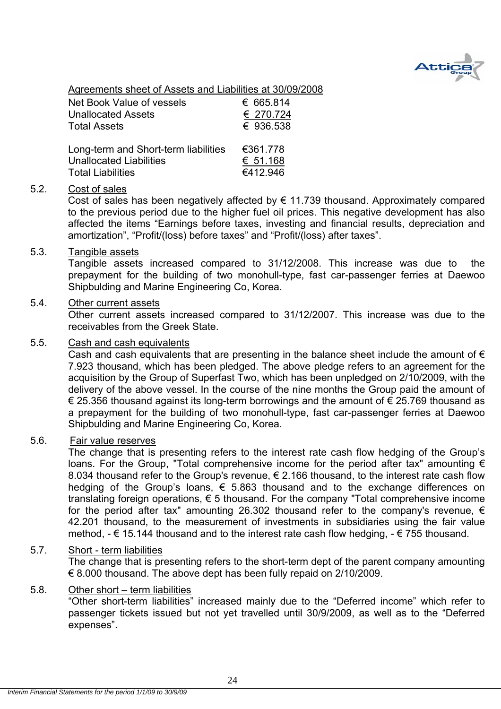

Agreements sheet of Assets and Liabilities at 30/09/2008

| Net Book Value of vessels            | € 665.814 |
|--------------------------------------|-----------|
| <b>Unallocated Assets</b>            | € 270.724 |
| <b>Total Assets</b>                  | € 936.538 |
| Long-term and Short-term liabilities | €361.778  |
| <b>Unallocated Liabilities</b>       | € 51.168  |
| <b>Total Liabilities</b>             | €412.946  |

#### 5.2. Cost of sales

Cost of sales has been negatively affected by  $\epsilon$  11.739 thousand. Approximately compared to the previous period due to the higher fuel oil prices. This negative development has also affected the items "Earnings before taxes, investing and financial results, depreciation and amortization", "Profit/(loss) before taxes" and "Profit/(loss) after taxes".

#### 5.3. Tangible assets

Tangible assets increased compared to 31/12/2008. This increase was due to the prepayment for the building of two monohull-type, fast car-passenger ferries at Daewoo Shipbulding and Marine Engineering Co, Korea.

#### 5.4. Other current assets

Other current assets increased compared to 31/12/2007. This increase was due to the receivables from the Greek State.

#### 5.5. Cash and cash equivalents

Cash and cash equivalents that are presenting in the balance sheet include the amount of  $\epsilon$ 7.923 thousand, which has been pledged. The above pledge refers to an agreement for the acquisition by the Group of Superfast Two, which has been unpledged on 2/10/2009, with the delivery of the above vessel. In the course of the nine months the Group paid the amount of € 25.356 thousand against its long-term borrowings and the amount of € 25.769 thousand as a prepayment for the building of two monohull-type, fast car-passenger ferries at Daewoo Shipbulding and Marine Engineering Co, Korea.

#### 5.6. Fair value reserves

The change that is presenting refers to the interest rate cash flow hedging of the Group's loans. For the Group, "Total comprehensive income for the period after tax" amounting  $\epsilon$ 8.034 thousand refer to the Group's revenue,  $\epsilon$  2.166 thousand, to the interest rate cash flow hedging of the Group's loans,  $\epsilon$  5.863 thousand and to the exchange differences on translating foreign operations,  $\epsilon$  5 thousand. For the company "Total comprehensive income for the period after tax" amounting 26.302 thousand refer to the company's revenue,  $\epsilon$ 42.201 thousand, to the measurement of investments in subsidiaries using the fair value method,  $-\epsilon$  15.144 thousand and to the interest rate cash flow hedging,  $-\epsilon$  755 thousand.

#### 5.7. Short - term liabilities

 The change that is presenting refers to the short-term dept of the parent company amounting € 8.000 thousand. The above dept has been fully repaid on 2/10/2009.

#### 5.8. Other short – term liabilities

"Other short-term liabilities" increased mainly due to the "Deferred income" which refer to passenger tickets issued but not yet travelled until 30/9/2009, as well as to the "Deferred expenses".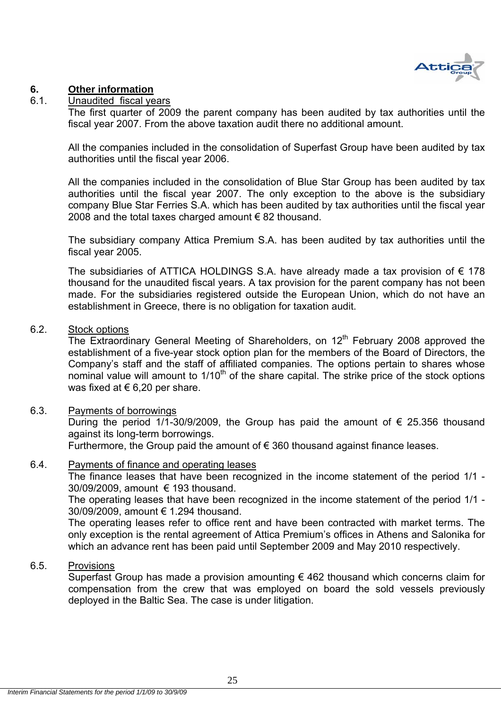

### **6. Other information**

#### 6.1. Unaudited fiscal years

The first quarter of 2009 the parent company has been audited by tax authorities until the fiscal year 2007. From the above taxation audit there no additional amount.

All the companies included in the consolidation of Superfast Group have been audited by tax authorities until the fiscal year 2006.

All the companies included in the consolidation of Blue Star Group has been audited by tax authorities until the fiscal year 2007. The only exception to the above is the subsidiary company Blue Star Ferries S.A. which has been audited by tax authorities until the fiscal year 2008 and the total taxes charged amount  $\epsilon$  82 thousand.

The subsidiary company Attica Premium S.A. has been audited by tax authorities until the fiscal year 2005.

The subsidiaries of ATTICA HOLDINGS S.A. have already made a tax provision of  $\epsilon$  178 thousand for the unaudited fiscal years. A tax provision for the parent company has not been made. For the subsidiaries registered outside the European Union, which do not have an establishment in Greece, there is no obligation for taxation audit.

#### 6.2. Stock options

The Extraordinary General Meeting of Shareholders, on 12<sup>th</sup> February 2008 approved the establishment of a five-year stock option plan for the members of the Board of Directors, the Company's staff and the staff of affiliated companies. The options pertain to shares whose nominal value will amount to  $1/10<sup>th</sup>$  of the share capital. The strike price of the stock options was fixed at  $\epsilon$  6,20 per share.

#### 6.3. Payments of borrowings

During the period 1/1-30/9/2009, the Group has paid the amount of  $\epsilon$  25.356 thousand against its long-term borrowings.

Furthermore, the Group paid the amount of  $\epsilon$  360 thousand against finance leases.

#### 6.4. Payments of finance and operating leases

The finance leases that have been recognized in the income statement of the period 1/1 - 30/09/2009, amount € 193 thousand.

The operating leases that have been recognized in the income statement of the period 1/1 - 30/09/2009, amount € 1.294 thousand.

The operating leases refer to office rent and have been contracted with market terms. The only exception is the rental agreement of Attica Premium's offices in Athens and Salonika for which an advance rent has been paid until September 2009 and May 2010 respectively.

#### 6.5. Provisions

Superfast Group has made a provision amounting  $\epsilon$  462 thousand which concerns claim for compensation from the crew that was employed on board the sold vessels previously deployed in the Baltic Sea. The case is under litigation.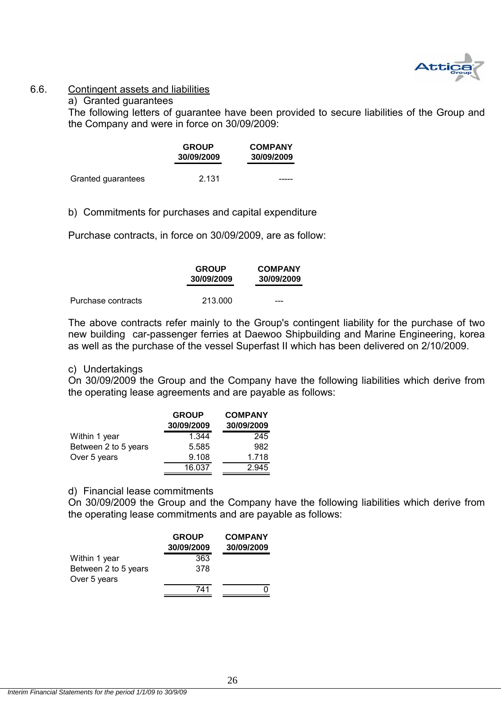

#### 6.6. Contingent assets and liabilities

### a) Granted guarantees

The following letters of guarantee have been provided to secure liabilities of the Group and the Company and were in force on 30/09/2009:

|                    | <b>GROUP</b><br>30/09/2009 | <b>COMPANY</b><br>30/09/2009 |
|--------------------|----------------------------|------------------------------|
| Granted guarantees | 2.131                      |                              |

b) Commitments for purchases and capital expenditure

Purchase contracts, in force on 30/09/2009, are as follow:

|                    | <b>GROUP</b><br>30/09/2009 | <b>COMPANY</b><br>30/09/2009 |
|--------------------|----------------------------|------------------------------|
| Purchase contracts | 213,000                    | ---                          |

The above contracts refer mainly to the Group's contingent liability for the purchase of two new building car-passenger ferries at Daewoo Shipbuilding and Marine Engineering, korea as well as the purchase of the vessel Superfast II which has been delivered on 2/10/2009.

#### c) Undertakings

On 30/09/2009 the Group and the Company have the following liabilities which derive from the operating lease agreements and are payable as follows:

|                      | <b>GROUP</b><br>30/09/2009 | <b>COMPANY</b><br>30/09/2009 |
|----------------------|----------------------------|------------------------------|
| Within 1 year        | 1.344                      | 245                          |
| Between 2 to 5 years | 5.585                      | 982                          |
| Over 5 years         | 9.108                      | 1.718                        |
|                      | 16.037                     | 2.945                        |

#### d) Financial lease commitments

On 30/09/2009 the Group and the Company have the following liabilities which derive from the operating lease commitments and are payable as follows:

|                                      | <b>GROUP</b><br>30/09/2009 | <b>COMPANY</b><br>30/09/2009 |
|--------------------------------------|----------------------------|------------------------------|
| Within 1 year                        | 363                        |                              |
| Between 2 to 5 years<br>Over 5 years | 378                        |                              |
|                                      | 741                        |                              |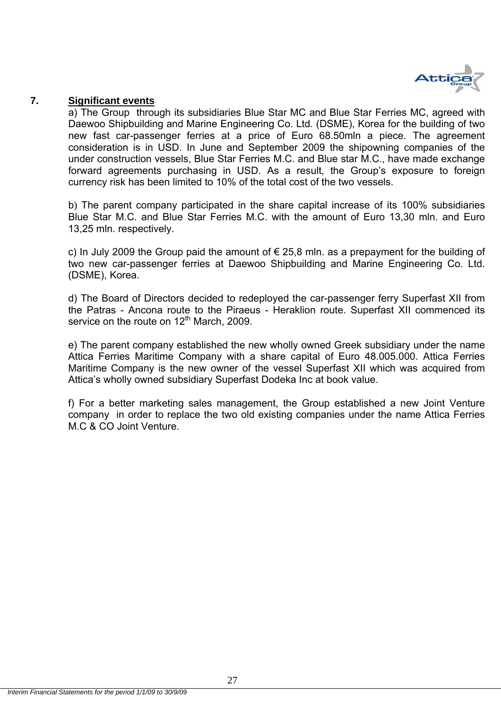

#### **7. Significant events**

a) The Group through its subsidiaries Blue Star MC and Blue Star Ferries MC, agreed with Daewoo Shipbuilding and Marine Engineering Co. Ltd. (DSME), Korea for the building of two new fast car-passenger ferries at a price of Euro 68.50mln a piece. The agreement consideration is in USD. In June and September 2009 the shipowning companies of the under construction vessels, Blue Star Ferries M.C. and Blue star M.C., have made exchange forward agreements purchasing in USD. As a result, the Group's exposure to foreign currency risk has been limited to 10% of the total cost of the two vessels.

b) The parent company participated in the share capital increase of its 100% subsidiaries Blue Star M.C. and Blue Star Ferries M.C. with the amount of Euro 13,30 mln. and Euro 13,25 mln. respectively.

c) In July 2009 the Group paid the amount of  $\epsilon$  25,8 mln. as a prepayment for the building of two new car-passenger ferries at Daewoo Shipbuilding and Marine Engineering Co. Ltd. (DSME), Korea.

d) The Board of Directors decided to redeployed the car-passenger ferry Superfast XII from the Patras - Ancona route to the Piraeus - Heraklion route. Superfast XII commenced its service on the route on  $12<sup>th</sup>$  March, 2009.

e) The parent company established the new wholly owned Greek subsidiary under the name Attica Ferries Maritime Company with a share capital of Euro 48.005.000. Attica Ferries Maritime Company is the new owner of the vessel Superfast XII which was acquired from Attica's wholly owned subsidiary Superfast Dodeka Inc at book value.

f) For a better marketing sales management, the Group established a new Joint Venture company in order to replace the two old existing companies under the name Attica Ferries M.C & CO Joint Venture.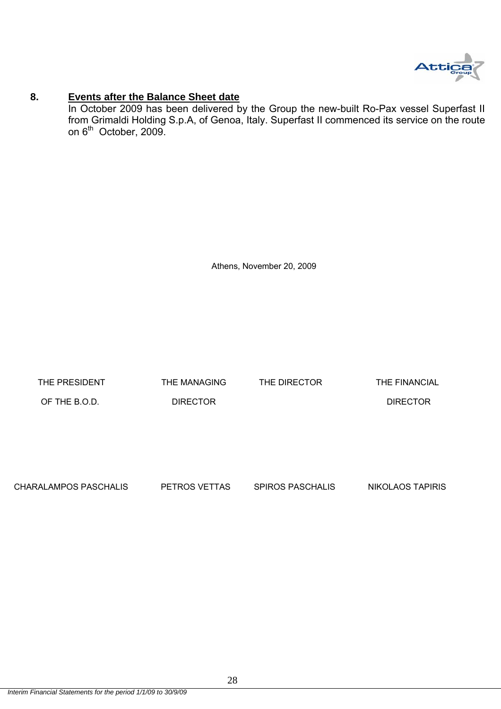

#### **8. Events after the Balance Sheet date**

In October 2009 has been delivered by the Group the new-built Ro-Pax vessel Superfast II from Grimaldi Holding S.p.A, of Genoa, Italy. Superfast II commenced its service on the route on  $6^{th}$  October, 2009.

Athens, November 20, 2009

THE PRESIDENT THE MANAGING THE DIRECTOR THE FINANCIAL OF THE B.O.D. DIRECTOR DIRECTOR

CHARALAMPOS PASCHALIS PETROS VETTAS SPIROS PASCHALIS NIKOLAOS TAPIRIS

*Interim Financial Statements for the period 1/1/09 to 30/9/09*